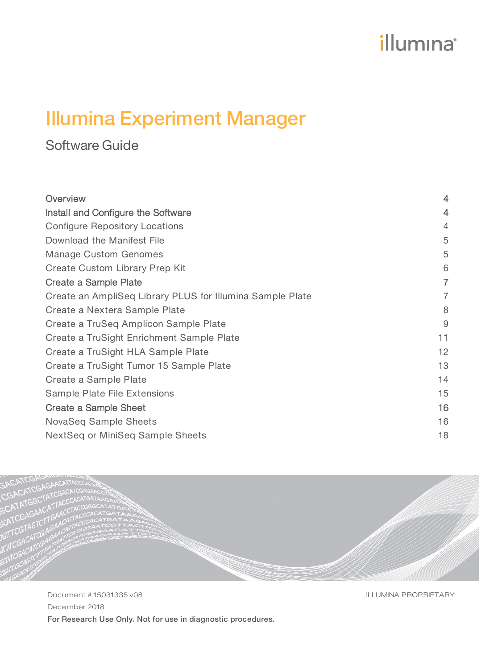# illumina®

# Illumina Experiment Manager

Software Guide

| Overview                                                  | $\overline{4}$ |
|-----------------------------------------------------------|----------------|
| Install and Configure the Software                        | 4              |
| <b>Configure Repository Locations</b>                     | $\overline{4}$ |
| Download the Manifest File                                | 5              |
| <b>Manage Custom Genomes</b>                              | 5              |
| Create Custom Library Prep Kit                            | 6              |
| Create a Sample Plate                                     | $\overline{7}$ |
| Create an AmpliSeq Library PLUS for Illumina Sample Plate | $\overline{7}$ |
| Create a Nextera Sample Plate                             | 8              |
| Create a TruSeq Amplicon Sample Plate                     | 9              |
| Create a TruSight Enrichment Sample Plate                 | 11             |
| Create a TruSight HLA Sample Plate                        | 12             |
| Create a TruSight Tumor 15 Sample Plate                   | 13             |
| Create a Sample Plate                                     | 14             |
| Sample Plate File Extensions                              | 15             |
| Create a Sample Sheet                                     | 16             |
| NovaSeq Sample Sheets                                     | 16             |
| NextSeq or MiniSeq Sample Sheets                          | 18             |

Document # 15031335 v08 December 2018 For Research Use Only. Not for use in diagnostic procedures. ILLUMINA PROPRIETARY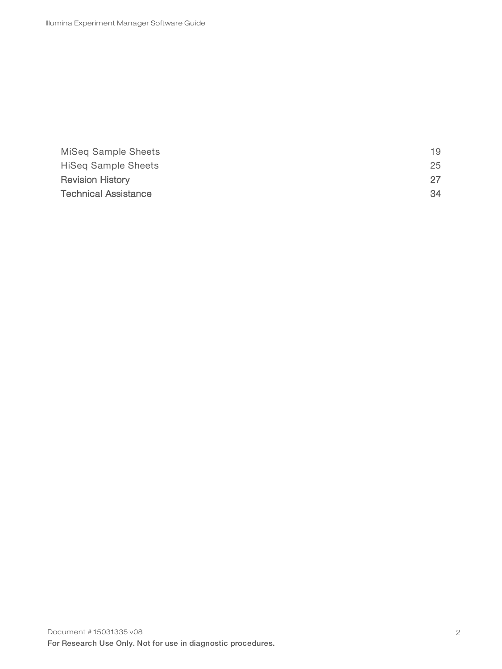| MiSeq Sample Sheets         | 19 |
|-----------------------------|----|
| <b>HiSeg Sample Sheets</b>  | 25 |
| <b>Revision History</b>     |    |
| <b>Technical Assistance</b> | 34 |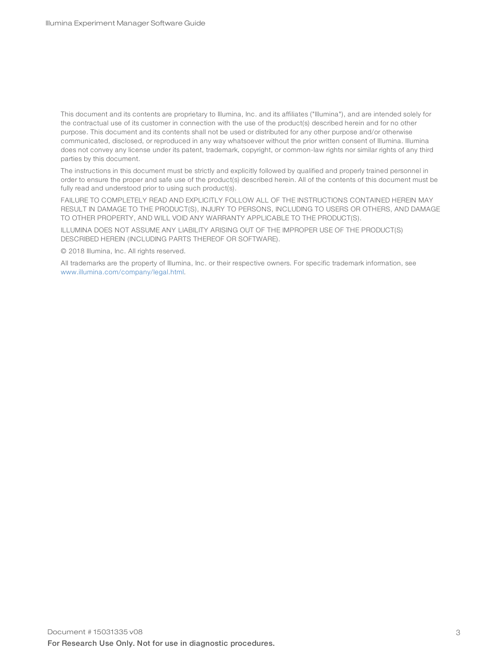This document and its contents are proprietary to Illumina, Inc. and its affiliates ("Illumina"), and are intended solely for the contractual use of its customer in connection with the use of the product(s) described herein and for no other purpose. This document and its contents shall not be used or distributed for any other purpose and/or otherwise communicated, disclosed, or reproduced in any way whatsoever without the prior written consent of Illumina. Illumina does not convey any license under its patent, trademark, copyright, or common-law rights nor similar rights of any third parties by this document.

The instructions in this document must be strictly and explicitly followed by qualified and properly trained personnel in order to ensure the proper and safe use of the product(s) described herein. All of the contents of this document must be fully read and understood prior to using such product(s).

FAILURE TO COMPLETELY READ AND EXPLICITLY FOLLOW ALL OF THE INSTRUCTIONS CONTAINED HEREIN MAY RESULT IN DAMAGE TO THE PRODUCT(S), INJURY TO PERSONS, INCLUDING TO USERS OR OTHERS, AND DAMAGE TO OTHER PROPERTY, AND WILL VOID ANY WARRANTY APPLICABLE TO THE PRODUCT(S).

ILLUMINA DOES NOT ASSUME ANY LIABILITY ARISING OUT OF THE IMPROPER USE OF THE PRODUCT(S) DESCRIBED HEREIN (INCLUDING PARTS THEREOF OR SOFTWARE).

© 2018 Illumina, Inc. All rights reserved.

All trademarks are the property of Illumina, Inc. or their respective owners. For specific trademark information, see [www.illumina.com/company/legal.html.](http://www.illumina.com/company/legal.html)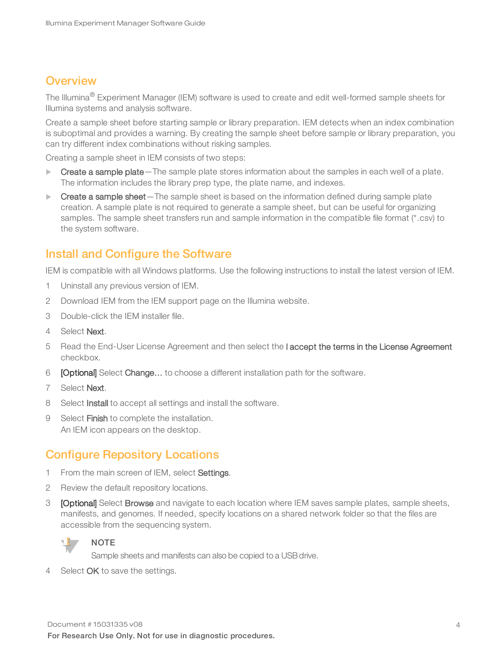#### <span id="page-3-0"></span>**Overview**

The Illumina<sup>®</sup> Experiment Manager (IEM) software is used to create and edit well-formed sample sheets for Illumina systems and analysis software.

Create a sample sheet before starting sample or library preparation. IEM detects when an index combination is suboptimal and provides a warning. By creating the sample sheet before sample or library preparation, you can try different index combinations without risking samples.

Creating a sample sheet in IEM consists of two steps:

- $\triangleright$  Create a sample plate—The sample plate stores information about the samples in each well of a plate. The information includes the library prep type, the plate name, and indexes.
- Create a sample sheet—The sample sheet is based on the information defined during sample plate creation. A sample plate is not required to generate a sample sheet, but can be useful for organizing samples. The sample sheet transfers run and sample information in the compatible file format (\*.csv) to the system software.

#### <span id="page-3-1"></span>Install and Configure the Software

IEM is compatible with all Windows platforms. Use the following instructions to install the latest version of IEM.

- 1 Uninstall any previous version of IEM.
- 2 Download IEM from the IEM support page on the Illumina website.
- 3 Double-click the IEM installer file.
- 4 Select Next.
- 5 Read the End-User License Agreement and then select the laccept the terms in the License Agreement checkbox.
- 6 [Optional] Select Change... to choose a different installation path for the software.
- 7 Select Next.
- 8 Select **Install** to accept all settings and install the software.
- <span id="page-3-2"></span>9 Select Finish to complete the installation. An IEM icon appears on the desktop.

#### Configure Repository Locations

- 1 From the main screen of IEM, select Settings.
- 2 Review the default repository locations.
- 3 **[Optional]** Select Browse and navigate to each location where IEM saves sample plates, sample sheets, manifests, and genomes. If needed, specify locations on a shared network folder so that the files are accessible from the sequencing system.



**NOTE** 

Sample sheets and manifests can also be copied to a USB drive.

4 Select OK to save the settings.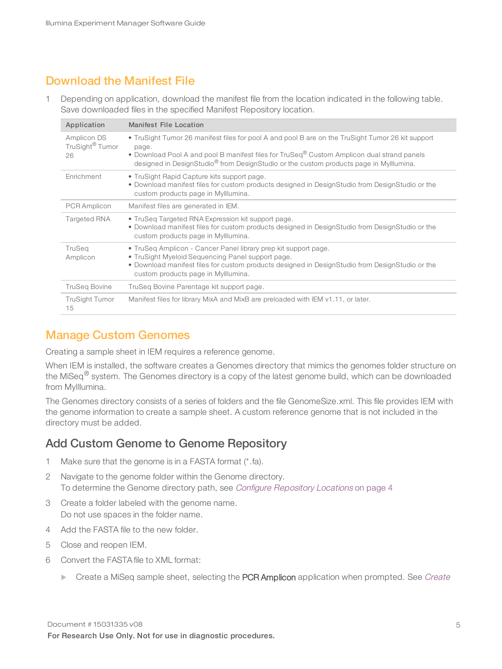## <span id="page-4-0"></span>Download the Manifest File

1 Depending on application, download the manifest file from the location indicated in the following table. Save downloaded files in the specified Manifest Repository location.

| Application                                      | Manifest File Location                                                                                                                                                                                                                                                                                                     |
|--------------------------------------------------|----------------------------------------------------------------------------------------------------------------------------------------------------------------------------------------------------------------------------------------------------------------------------------------------------------------------------|
| Amplicon DS<br>TruSight <sup>®</sup> Tumor<br>26 | • TruSight Tumor 26 manifest files for pool A and pool B are on the TruSight Tumor 26 kit support<br>page.<br>• Download Pool A and pool B manifest files for TruSeq <sup>®</sup> Custom Amplicon dual strand panels<br>designed in DesignStudio <sup>®</sup> from DesignStudio or the custom products page in Mylllumina. |
| Enrichment                                       | • TruSight Rapid Capture kits support page.<br>• Download manifest files for custom products designed in DesignStudio from DesignStudio or the<br>custom products page in Mylllumina.                                                                                                                                      |
| <b>PCR Amplicon</b>                              | Manifest files are generated in IEM.                                                                                                                                                                                                                                                                                       |
| <b>Targeted RNA</b>                              | • TruSeg Targeted RNA Expression kit support page.<br>• Download manifest files for custom products designed in DesignStudio from DesignStudio or the<br>custom products page in Mylllumina.                                                                                                                               |
| <b>TruSeg</b><br>Amplicon                        | • TruSeg Amplicon - Cancer Panel library prep kit support page.<br>• TruSight Myeloid Sequencing Panel support page.<br>• Download manifest files for custom products designed in DesignStudio from DesignStudio or the<br>custom products page in Mylllumina.                                                             |
| <b>TruSeg Bovine</b>                             | TruSeg Bovine Parentage kit support page.                                                                                                                                                                                                                                                                                  |
| <b>TruSight Tumor</b><br>15                      | Manifest files for library MixA and MixB are preloaded with IEM v1.11, or later.                                                                                                                                                                                                                                           |

#### <span id="page-4-1"></span>Manage Custom Genomes

Creating a sample sheet in IEM requires a reference genome.

When IEM is installed, the software creates a Genomes directory that mimics the genomes folder structure on the MiSeq<sup>®</sup> system. The Genomes directory is a copy of the latest genome build, which can be downloaded from MyIllumina.

The Genomes directory consists of a series of folders and the file GenomeSize.xml. This file provides IEM with the genome information to create a sample sheet. A custom reference genome that is not included in the directory must be added.

#### Add Custom Genome to Genome Repository

- 1 Make sure that the genome is in a FASTA format (\*.fa).
- 2 Navigate to the genome folder within the Genome directory. To determine the Genome directory path, see Configure [Repository](#page-3-2) Locations on page 4
- 3 Create a folder labeled with the genome name. Do not use spaces in the folder name.
- 4 Add the FASTA file to the new folder.
- 5 Close and reopen IEM.
- 6 Convert the FASTA file to XML format:
	- Fracesce a MiSeq sample sheet, selecting the PCR Amplicon application when prompted. See [Create](#page-19-0)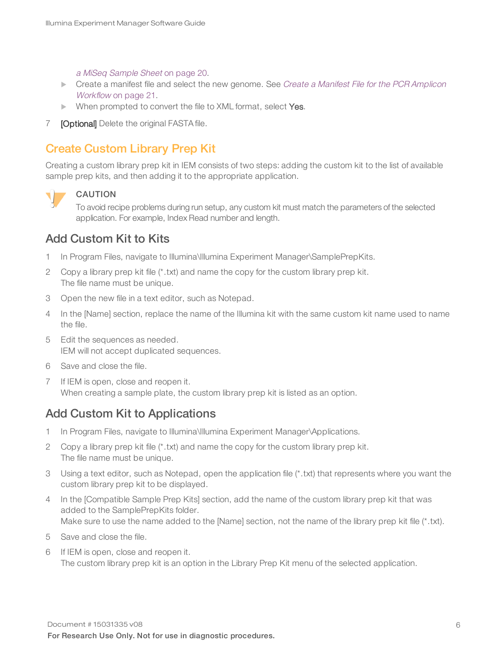<sup>a</sup> MiSeq [Sample](#page-19-0) Sheet on page 20.

- **Example 2** Create a manifest file and select the new genome. See Create a Manifest File for the [PCR Amplicon](#page-20-0) [Workflow](#page-20-0) on page 21.
- $\blacktriangleright$  When prompted to convert the file to XML format, select Yes.
- <span id="page-5-0"></span>7 **[Optional]** Delete the original FASTA file.

#### Create Custom Library Prep Kit

Creating a custom library prep kit in IEM consists of two steps: adding the custom kit to the list of available sample prep kits, and then adding it to the appropriate application.



#### CAUTION

To avoid recipe problems during run setup, any custom kit must match the parameters of the selected application. For example, Index Read number and length.

#### Add Custom Kit to Kits

- 1 In Program Files, navigate to Illumina\Illumina Experiment Manager\SamplePrepKits.
- Copy a library prep kit file  $(*.$ txt) and name the copy for the custom library prep kit. The file name must be unique.
- 3 Open the new file in a text editor, such as Notepad.
- 4 In the [Name] section, replace the name of the Illumina kit with the same custom kit name used to name the file.
- 5 Edit the sequences as needed. IEM will not accept duplicated sequences.
- 6 Save and close the file.
- 7 If IEM is open, close and reopen it. When creating a sample plate, the custom library prep kit is listed as an option.

#### Add Custom Kit to Applications

- 1 In Program Files, navigate to Illumina\Illumina Experiment Manager\Applications.
- 2 Copy a library prep kit file (\*.txt) and name the copy for the custom library prep kit. The file name must be unique.
- 3 Using a text editor, such as Notepad, open the application file (\*.txt) that represents where you want the custom library prep kit to be displayed.
- 4 In the [Compatible Sample Prep Kits] section, add the name of the custom library prep kit that was added to the SamplePrepKits folder. Make sure to use the name added to the [Name] section, not the name of the library prep kit file (\*.txt).
- 5 Save and close the file.
- 6 If IEM is open, close and reopen it. The custom library prep kit is an option in the Library Prep Kit menu of the selected application.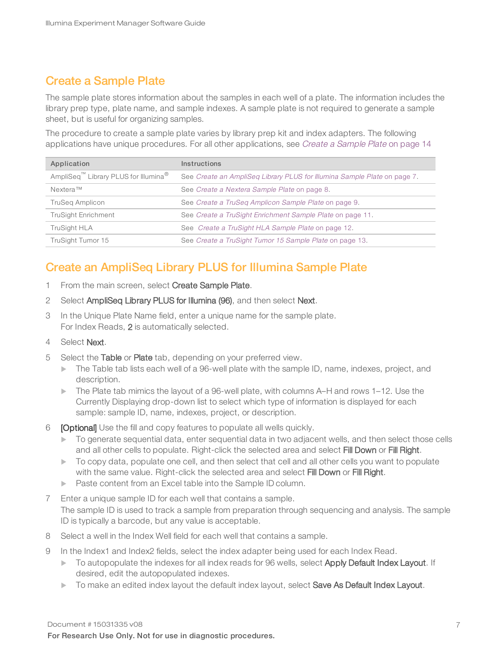## <span id="page-6-0"></span>Create a Sample Plate

The sample plate stores information about the samples in each well of a plate. The information includes the library prep type, plate name, and sample indexes. A sample plate is not required to generate a sample sheet, but is useful for organizing samples.

The procedure to create a sample plate varies by library prep kit and index adapters. The following applications have unique procedures. For all other applications, see Create a [Sample](#page-13-0) Plate on page 14

| Application                                                  | Instructions                                                             |
|--------------------------------------------------------------|--------------------------------------------------------------------------|
| AmpliSeq <sup>™</sup> Library PLUS for Illumina <sup>®</sup> | See Create an AmpliSeg Library PLUS for Illumina Sample Plate on page 7. |
| Nextera™                                                     | See Create a Nextera Sample Plate on page 8.                             |
| <b>TruSeg Amplicon</b>                                       | See Create a TruSeg Amplicon Sample Plate on page 9.                     |
| <b>TruSight Enrichment</b>                                   | See Create a TruSight Enrichment Sample Plate on page 11.                |
| <b>TruSight HLA</b>                                          | See Create a TruSight HLA Sample Plate on page 12.                       |
| TruSight Tumor 15                                            | See Create a TruSight Tumor 15 Sample Plate on page 13.                  |

## <span id="page-6-1"></span>Create an AmpliSeq Library PLUS for Illumina Sample Plate

- 1 From the main screen, select Create Sample Plate.
- 2 Select AmpliSeq Library PLUS for Illumina (96), and then select Next.
- 3 In the Unique Plate Name field, enter a unique name for the sample plate. For Index Reads, 2 is automatically selected.
- 4 Select Next.
- 5 Select the Table or Plate tab, depending on your preferred view.
	- $\triangleright$  The Table tab lists each well of a 96-well plate with the sample ID, name, indexes, project, and description.
	- $\triangleright$  The Plate tab mimics the layout of a 96-well plate, with columns A–H and rows 1–12. Use the Currently Displaying drop-down list to select which type of information is displayed for each sample: sample ID, name, indexes, project, or description.
- 6 **[Optional]** Use the fill and copy features to populate all wells quickly.
	- $\triangleright$  To generate sequential data, enter sequential data in two adjacent wells, and then select those cells and all other cells to populate. Right-click the selected area and select Fill Down or Fill Right.
	- $\triangleright$  To copy data, populate one cell, and then select that cell and all other cells you want to populate with the same value. Right-click the selected area and select **Fill Down** or **Fill Right**.
	- **EXECUTE:** Paste content from an Excel table into the Sample ID column.
- 7 Enter a unique sample ID for each well that contains a sample. The sample ID is used to track a sample from preparation through sequencing and analysis. The sample ID is typically a barcode, but any value is acceptable.
- 8 Select a well in the Index Well field for each well that contains a sample.
- 9 In the Index1 and Index2 fields, select the index adapter being used for each Index Read.
	- To autopopulate the indexes for all index reads for 96 wells, select Apply Default Index Layout. If desired, edit the autopopulated indexes.
	- To make an edited index layout the default index layout, select Save As Default Index Layout.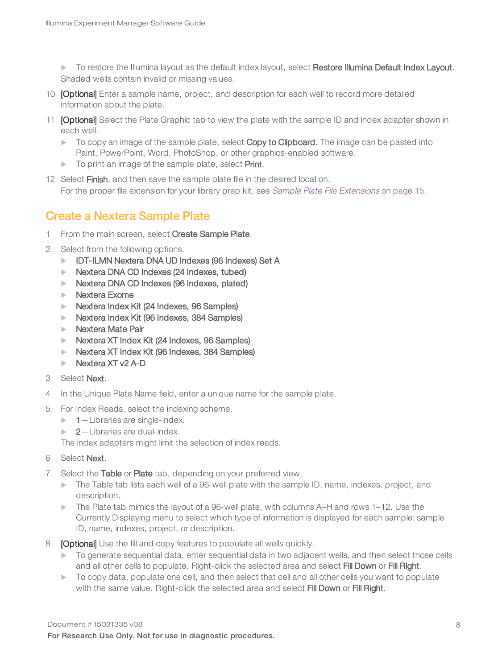To restore the Illumina layout as the default index layout, select Restore Illumina Default Index Layout. Shaded wells contain invalid or missing values.

- 10 **[Optional]** Enter a sample name, project, and description for each well to record more detailed information about the plate.
- 11 **[Optional]** Select the Plate Graphic tab to view the plate with the sample ID and index adapter shown in each well.
	- $\triangleright$  To copy an image of the sample plate, select Copy to Clipboard. The image can be pasted into Paint, PowerPoint, Word, PhotoShop, or other graphics-enabled software.
	- $\triangleright$  To print an image of the sample plate, select Print.
- 12 Select Finish, and then save the sample plate file in the desired location. For the proper file extension for your library prep kit, see Sample Plate File [Extensions](#page-14-0) on page 15.

#### <span id="page-7-0"></span>Create a Nextera Sample Plate

- 1 From the main screen, select Create Sample Plate.
- 2 Select from the following options.
	- **DET-ILMN Nextera DNA UD Indexes (96 Indexes) Set A**
	- $\triangleright$  Nextera DNA CD Indexes (24 Indexes, tubed)
	- **Nextera DNA CD Indexes (96 Indexes, plated)**
	- $\blacktriangleright$  Nextera Exome
	- $\triangleright$  Nextera Index Kit (24 Indexes, 96 Samples)
	- $\triangleright$  Nextera Index Kit (96 Indexes, 384 Samples)
	- **Nextera Mate Pair**
	- $\triangleright$  Nextera XT Index Kit (24 Indexes, 96 Samples)
	- $\triangleright$  Nextera XT Index Kit (96 Indexes, 384 Samples)
	- $\blacktriangleright$  Nextera XT v2 A-D
- 3 Select Next.
- 4 In the Unique Plate Name field, enter a unique name for the sample plate.
- 5 For Index Reads, select the indexing scheme.
	- $\blacktriangleright$  1-Libraries are single-index.
	- $\blacktriangleright$  2-Libraries are dual-index.

The index adapters might limit the selection of index reads.

- 6 Select Next.
- 7 Select the Table or Plate tab, depending on your preferred view.
	- $\triangleright$  The Table tab lists each well of a 96-well plate with the sample ID, name, indexes, project, and description.
	- $\triangleright$  The Plate tab mimics the layout of a 96-well plate, with columns A–H and rows 1–12. Use the Currently Displaying menu to select which type of information is displayed for each sample: sample ID, name, indexes, project, or description.
- 8 **[Optional]** Use the fill and copy features to populate all wells quickly.
	- $\triangleright$  To generate sequential data, enter sequential data in two adjacent wells, and then select those cells and all other cells to populate. Right-click the selected area and select Fill Down or Fill Right.
	- $\triangleright$  To copy data, populate one cell, and then select that cell and all other cells you want to populate with the same value. Right-click the selected area and select **Fill Down** or **Fill Right**.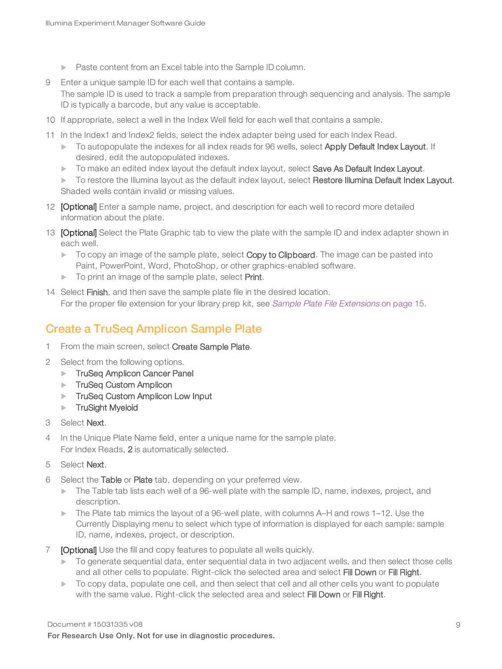- **EXECUTE:** Paste content from an Excel table into the Sample ID column.
- 9 Enter a unique sample ID for each well that contains a sample. The sample ID is used to track a sample from preparation through sequencing and analysis. The sample ID is typically a barcode, but any value is acceptable.
- 10 If appropriate, select a well in the Index Well field for each well that contains a sample.
- 11 In the Index1 and Index2 fields, select the index adapter being used for each Index Read.
	- $\triangleright$  To autopopulate the indexes for all index reads for 96 wells, select Apply Default Index Layout. If desired, edit the autopopulated indexes.
	- To make an edited index layout the default index layout, select **Save As Default Index Layout.**

To restore the Illumina layout as the default index layout, select Restore Illumina Default Index Layout. Shaded wells contain invalid or missing values.

- 12 **[Optional]** Enter a sample name, project, and description for each well to record more detailed information about the plate.
- 13 [Optional] Select the Plate Graphic tab to view the plate with the sample ID and index adapter shown in each well.
	- $\triangleright$  To copy an image of the sample plate, select Copy to Clipboard. The image can be pasted into Paint, PowerPoint, Word, PhotoShop, or other graphics-enabled software.
	- $\triangleright$  To print an image of the sample plate, select Print.
- 14 Select Finish, and then save the sample plate file in the desired location. For the proper file extension for your library prep kit, see Sample Plate File [Extensions](#page-14-0) on page 15.

### <span id="page-8-0"></span>Create a TruSeq Amplicon Sample Plate

- 1 From the main screen, select Create Sample Plate.
- 2 Select from the following options.
	- **TruSeq Amplicon Cancer Panel**
	- **FRUSEQ Custom Amplicon**
	- **TruSeq Custom Amplicon Low Input**
	- $\blacktriangleright$  TruSight Myeloid
- 3 Select Next.
- 4 In the Unique Plate Name field, enter a unique name for the sample plate. For Index Reads, 2 is automatically selected.
- 5 Select Next.
- 6 Select the Table or Plate tab, depending on your preferred view.
	- $\triangleright$  The Table tab lists each well of a 96-well plate with the sample ID, name, indexes, project, and description.
	- $\triangleright$  The Plate tab mimics the layout of a 96-well plate, with columns A–H and rows 1–12. Use the Currently Displaying menu to select which type of information is displayed for each sample: sample ID, name, indexes, project, or description.
- 7 **[Optional]** Use the fill and copy features to populate all wells quickly.
	- $\triangleright$  To generate sequential data, enter sequential data in two adjacent wells, and then select those cells and all other cells to populate. Right-click the selected area and select Fill Down or Fill Right.
	- $\triangleright$  To copy data, populate one cell, and then select that cell and all other cells you want to populate with the same value. Right-click the selected area and select Fill Down or Fill Right.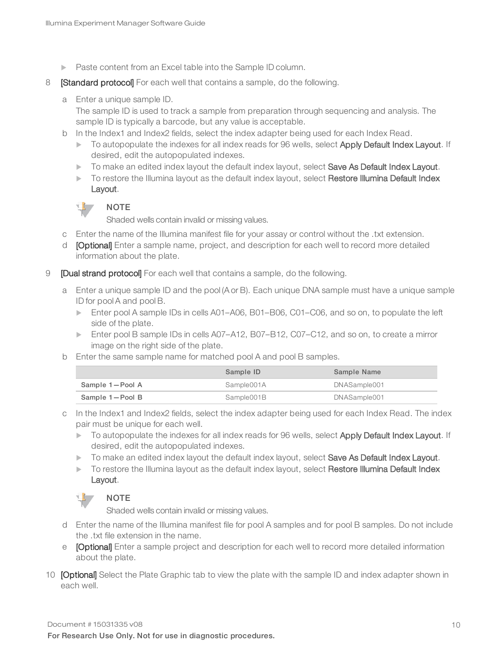- **EXECUTE:** Paste content from an Excel table into the Sample ID column.
- 8 [Standard protocol] For each well that contains a sample, do the following.
	- a Enter a unique sample ID.

The sample ID is used to track a sample from preparation through sequencing and analysis. The sample ID is typically a barcode, but any value is acceptable.

- b In the Index1 and Index2 fields, select the index adapter being used for each Index Read.
	- To autopopulate the indexes for all index reads for 96 wells, select Apply Default Index Layout. If desired, edit the autopopulated indexes.
	- To make an edited index layout the default index layout, select **Save As Default Index Layout.**
	- To restore the Illumina layout as the default index layout, select Restore Illumina Default Index Layout.

#### **NOTE**

Shaded wells contain invalid or missing values.

- c Enter the name of the Illumina manifest file for your assay or control without the .txt extension.
- d [Optional] Enter a sample name, project, and description for each well to record more detailed information about the plate.
- 9 **[Dual strand protocol]** For each well that contains a sample, do the following.
	- a Enter a unique sample ID and the pool (A or B). Each unique DNA sample must have a unique sample ID for pool A and pool B.
		- Enter pool A sample IDs in cells  $A01- A06$ ,  $B01- B06$ ,  $C01- C06$ , and so on, to populate the left side of the plate.
		- ► Enter pool B sample IDs in cells A07-A12, B07-B12, C07-C12, and so on, to create a mirror image on the right side of the plate.
	- b Enter the same sample name for matched pool A and pool B samples.

|                 | Sample ID  | Sample Name  |
|-----------------|------------|--------------|
| Sample 1-Pool A | Sample001A | DNASample001 |
| Sample 1-Pool B | Sample001B | DNASample001 |

- c In the Index1 and Index2 fields, select the index adapter being used for each Index Read. The index pair must be unique for each well.
	- To autopopulate the indexes for all index reads for 96 wells, select Apply Default Index Layout. If desired, edit the autopopulated indexes.
	- To make an edited index layout the default index layout, select Save As Default Index Layout.
	- To restore the Illumina layout as the default index layout, select Restore Illumina Default Index Layout.



Shaded wells contain invalid or missing values.

- d Enter the name of the Illumina manifest file for pool A samples and for pool B samples. Do not include the .txt file extension in the name.
- e **[Optional]** Enter a sample project and description for each well to record more detailed information about the plate.
- 10 **[Optional]** Select the Plate Graphic tab to view the plate with the sample ID and index adapter shown in each well.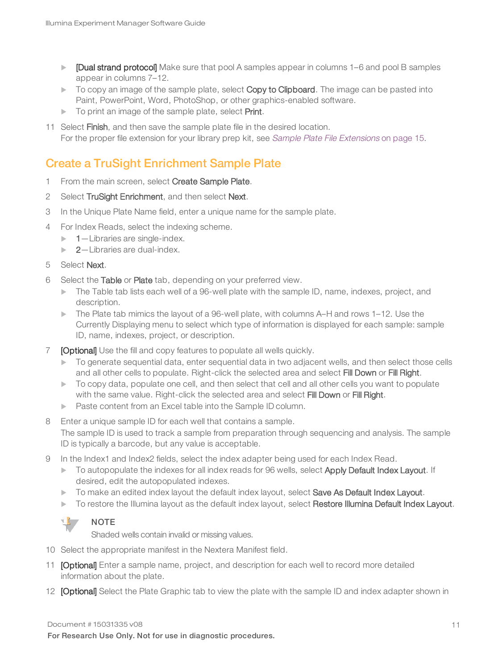- $\triangleright$  [Dual strand protocol] Make sure that pool A samples appear in columns 1–6 and pool B samples appear in columns 7–12.
- $\triangleright$  To copy an image of the sample plate, select Copy to Clipboard. The image can be pasted into Paint, PowerPoint, Word, PhotoShop, or other graphics-enabled software.
- $\blacktriangleright$  To print an image of the sample plate, select Print.
- 11 Select Finish, and then save the sample plate file in the desired location. For the proper file extension for your library prep kit, see Sample Plate File [Extensions](#page-14-0) on page 15.

### <span id="page-10-0"></span>Create a TruSight Enrichment Sample Plate

- 1 From the main screen, select Create Sample Plate.
- 2 Select TruSight Enrichment, and then select Next.
- 3 In the Unique Plate Name field, enter a unique name for the sample plate.
- 4 For Index Reads, select the indexing scheme.
	- $\blacktriangleright$  1 Libraries are single-index.
	- $\blacktriangleright$  2—Libraries are dual-index.
- 5 Select Next.
- 6 Select the Table or Plate tab, depending on your preferred view.
	- $\triangleright$  The Table tab lists each well of a 96-well plate with the sample ID, name, indexes, project, and description.
	- $\triangleright$  The Plate tab mimics the layout of a 96-well plate, with columns A–H and rows 1–12. Use the Currently Displaying menu to select which type of information is displayed for each sample: sample ID, name, indexes, project, or description.
- 7 **[Optional]** Use the fill and copy features to populate all wells quickly.
	- $\blacktriangleright$  To generate sequential data, enter sequential data in two adjacent wells, and then select those cells and all other cells to populate. Right-click the selected area and select Fill Down or Fill Right.
	- $\triangleright$  To copy data, populate one cell, and then select that cell and all other cells you want to populate with the same value. Right-click the selected area and select Fill Down or Fill Right.
	- **EXECUTE:** Paste content from an Excel table into the Sample ID column.
- 8 Enter a unique sample ID for each well that contains a sample. The sample ID is used to track a sample from preparation through sequencing and analysis. The sample ID is typically a barcode, but any value is acceptable.
- 9 In the Index1 and Index2 fields, select the index adapter being used for each Index Read.
	- To autopopulate the indexes for all index reads for 96 wells, select Apply Default Index Layout. If desired, edit the autopopulated indexes.
	- To make an edited index layout the default index layout, select Save As Default Index Layout.
	- To restore the Illumina layout as the default index layout, select Restore Illumina Default Index Layout.

#### $\mathbf{H}$  , **NOTE**

Shaded wells contain invalid or missing values.

- 10 Select the appropriate manifest in the Nextera Manifest field.
- 11 **[Optional]** Enter a sample name, project, and description for each well to record more detailed information about the plate.
- 12 **[Optional]** Select the Plate Graphic tab to view the plate with the sample ID and index adapter shown in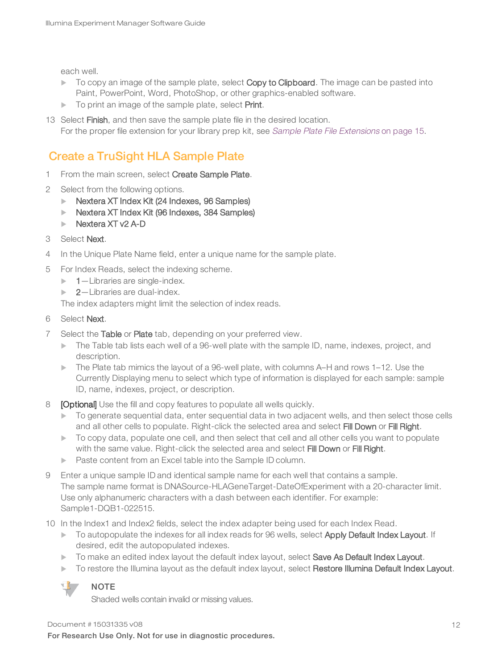each well.

- $\triangleright$  To copy an image of the sample plate, select Copy to Clipboard. The image can be pasted into Paint, PowerPoint, Word, PhotoShop, or other graphics-enabled software.
- $\triangleright$  To print an image of the sample plate, select Print.
- 13 Select Finish, and then save the sample plate file in the desired location. For the proper file extension for your library prep kit, see Sample Plate File [Extensions](#page-14-0) on page 15.

## <span id="page-11-0"></span>Create a TruSight HLA Sample Plate

- 1 From the main screen, select Create Sample Plate.
- 2 Select from the following options.
	- $\triangleright$  Nextera XT Index Kit (24 Indexes, 96 Samples)
	- **Nextera XT Index Kit (96 Indexes, 384 Samples)**
	- $\triangleright$  Nextera XT v2 A-D
- 3 Select Next.
- 4 In the Unique Plate Name field, enter a unique name for the sample plate.
- 5 For Index Reads, select the indexing scheme.
	- $\blacktriangleright$  1 Libraries are single-index.
	- $\blacktriangleright$  2-Libraries are dual-index.

The index adapters might limit the selection of index reads.

- 6 Select Next.
- 7 Select the Table or Plate tab, depending on your preferred view.
	- $\triangleright$  The Table tab lists each well of a 96-well plate with the sample ID, name, indexes, project, and description.
	- $\triangleright$  The Plate tab mimics the layout of a 96-well plate, with columns A–H and rows 1–12. Use the Currently Displaying menu to select which type of information is displayed for each sample: sample ID, name, indexes, project, or description.
- 8 **[Optional]** Use the fill and copy features to populate all wells quickly.
	- $\triangleright$  To generate sequential data, enter sequential data in two adjacent wells, and then select those cells and all other cells to populate. Right-click the selected area and select Fill Down or Fill Right.
	- $\triangleright$  To copy data, populate one cell, and then select that cell and all other cells you want to populate with the same value. Right-click the selected area and select Fill Down or Fill Right.
	- **EXECUTE:** Paste content from an Excel table into the Sample ID column.
- 9 Enter a unique sample ID and identical sample name for each well that contains a sample. The sample name format is DNASource-HLAGeneTarget-DateOfExperiment with a 20-character limit. Use only alphanumeric characters with a dash between each identifier. For example: Sample1-DQB1-022515.
- 10 In the Index1 and Index2 fields, select the index adapter being used for each Index Read.
	- To autopopulate the indexes for all index reads for 96 wells, select Apply Default Index Layout. If desired, edit the autopopulated indexes.
	- To make an edited index layout the default index layout, select Save As Default Index Layout.
	- To restore the Illumina layout as the default index layout, select Restore Illumina Default Index Layout.



**NOTE** 

Shaded wells contain invalid or missing values.

Document # 15031335 v08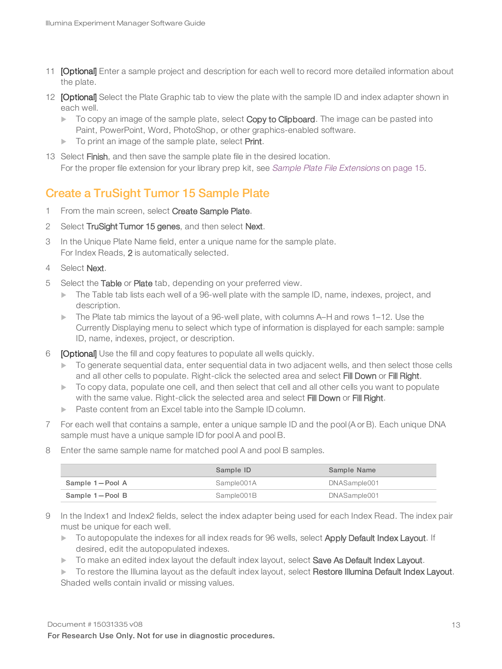- 11 **[Optional]** Enter a sample project and description for each well to record more detailed information about the plate.
- 12 [Optional] Select the Plate Graphic tab to view the plate with the sample ID and index adapter shown in each well.
	- $\triangleright$  To copy an image of the sample plate, select Copy to Clipboard. The image can be pasted into Paint, PowerPoint, Word, PhotoShop, or other graphics-enabled software.
	- $\triangleright$  To print an image of the sample plate, select Print.
- 13 Select Finish, and then save the sample plate file in the desired location. For the proper file extension for your library prep kit, see Sample Plate File [Extensions](#page-14-0) on page 15.

#### <span id="page-12-0"></span>Create a TruSight Tumor 15 Sample Plate

- 1 From the main screen, select Create Sample Plate.
- 2 Select TruSight Tumor 15 genes, and then select Next.
- 3 In the Unique Plate Name field, enter a unique name for the sample plate. For Index Reads, 2 is automatically selected.
- 4 Select Next.
- 5 Select the Table or Plate tab, depending on your preferred view.
	- $\triangleright$  The Table tab lists each well of a 96-well plate with the sample ID, name, indexes, project, and description.
	- $\triangleright$  The Plate tab mimics the layout of a 96-well plate, with columns A–H and rows 1–12. Use the Currently Displaying menu to select which type of information is displayed for each sample: sample ID, name, indexes, project, or description.
- 6 **[Optional]** Use the fill and copy features to populate all wells quickly.
	- $\triangleright$  To generate sequential data, enter sequential data in two adjacent wells, and then select those cells and all other cells to populate. Right-click the selected area and select Fill Down or Fill Right.
	- $\triangleright$  To copy data, populate one cell, and then select that cell and all other cells you want to populate with the same value. Right-click the selected area and select Fill Down or Fill Right.
	- **EXECUTE:** Paste content from an Excel table into the Sample ID column.
- 7 For each well that contains a sample, enter a unique sample ID and the pool (A or B). Each unique DNA sample must have a unique sample ID for pool A and pool B.
- 8 Enter the same sample name for matched pool A and pool B samples.

|                 | Sample ID  | Sample Name  |
|-----------------|------------|--------------|
| Sample 1-Pool A | Sample001A | DNASample001 |
| Sample 1-Pool B | Sample001B | DNASample001 |

- 9 In the Index1 and Index2 fields, select the index adapter being used for each Index Read. The index pair must be unique for each well.
	- To autopopulate the indexes for all index reads for 96 wells, select Apply Default Index Layout. If desired, edit the autopopulated indexes.
	- To make an edited index layout the default index layout, select Save As Default Index Layout.
	- To restore the Illumina layout as the default index layout, select Restore Illumina Default Index Layout. Shaded wells contain invalid or missing values.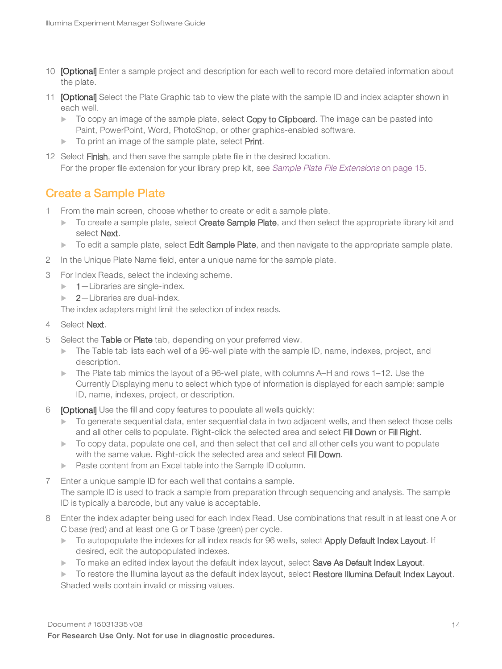- 10 **[Optional]** Enter a sample project and description for each well to record more detailed information about the plate.
- 11 **[Optional]** Select the Plate Graphic tab to view the plate with the sample ID and index adapter shown in each well.
	- $\triangleright$  To copy an image of the sample plate, select Copy to Clipboard. The image can be pasted into Paint, PowerPoint, Word, PhotoShop, or other graphics-enabled software.
	- $\triangleright$  To print an image of the sample plate, select Print.
- 12 Select Finish, and then save the sample plate file in the desired location. For the proper file extension for your library prep kit, see Sample Plate File [Extensions](#page-14-0) on page 15.

#### <span id="page-13-0"></span>Create a Sample Plate

- 1 From the main screen, choose whether to create or edit a sample plate.
	- $\triangleright$  To create a sample plate, select Create Sample Plate, and then select the appropriate library kit and select Next.
	- $\blacktriangleright$  To edit a sample plate, select Edit Sample Plate, and then navigate to the appropriate sample plate.
- 2 In the Unique Plate Name field, enter a unique name for the sample plate.
- 3 For Index Reads, select the indexing scheme.
	- $\blacktriangleright$  1 Libraries are single-index.
	- $\blacktriangleright$  2-Libraries are dual-index.

The index adapters might limit the selection of index reads.

- 4 Select Next.
- 5 Select the Table or Plate tab, depending on your preferred view.
	- $\triangleright$  The Table tab lists each well of a 96-well plate with the sample ID, name, indexes, project, and description.
	- $\triangleright$  The Plate tab mimics the layout of a 96-well plate, with columns A–H and rows 1–12. Use the Currently Displaying menu to select which type of information is displayed for each sample: sample ID, name, indexes, project, or description.
- 6 **[Optional]** Use the fill and copy features to populate all wells quickly:
	- $\triangleright$  To generate sequential data, enter sequential data in two adjacent wells, and then select those cells and all other cells to populate. Right-click the selected area and select Fill Down or Fill Right.
	- $\triangleright$  To copy data, populate one cell, and then select that cell and all other cells you want to populate with the same value. Right-click the selected area and select Fill Down.
	- **EXECUTE:** Paste content from an Excel table into the Sample ID column.
- 7 Enter a unique sample ID for each well that contains a sample. The sample ID is used to track a sample from preparation through sequencing and analysis. The sample ID is typically a barcode, but any value is acceptable.
- 8 Enter the index adapter being used for each Index Read. Use combinations that result in at least one A or C base (red) and at least one G or T base (green) per cycle.
	- To autopopulate the indexes for all index reads for 96 wells, select Apply Default Index Layout. If desired, edit the autopopulated indexes.
	- To make an edited index layout the default index layout, select **Save As Default Index Layout.**
	- To restore the Illumina layout as the default index layout, select Restore Illumina Default Index Layout. Shaded wells contain invalid or missing values.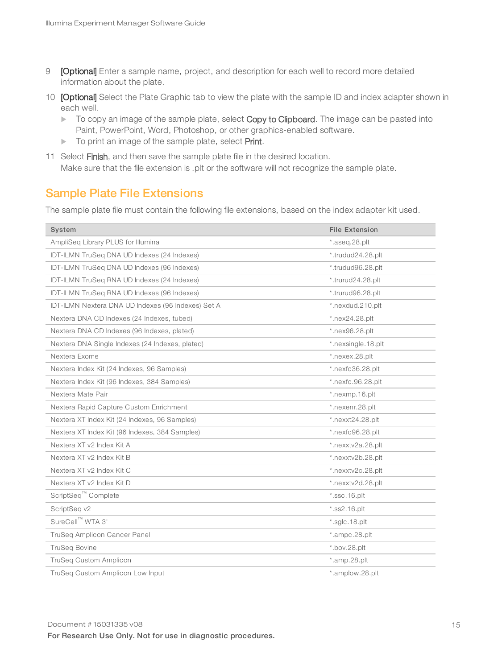- 9 **[Optional]** Enter a sample name, project, and description for each well to record more detailed information about the plate.
- 10 [Optional] Select the Plate Graphic tab to view the plate with the sample ID and index adapter shown in each well.
	- $\blacktriangleright$  To copy an image of the sample plate, select Copy to Clipboard. The image can be pasted into Paint, PowerPoint, Word, Photoshop, or other graphics-enabled software.
	- $\triangleright$  To print an image of the sample plate, select Print.
- 11 Select Finish, and then save the sample plate file in the desired location. Make sure that the file extension is .plt or the software will not recognize the sample plate.

#### <span id="page-14-0"></span>Sample Plate File Extensions

The sample plate file must contain the following file extensions, based on the index adapter kit used.

| System                                             | <b>File Extension</b> |
|----------------------------------------------------|-----------------------|
| AmpliSeg Library PLUS for Illumina                 | *.aseq.28.plt         |
| IDT-ILMN TruSeg DNA UD Indexes (24 Indexes)        | *.trudud24.28.plt     |
| IDT-ILMN TruSeg DNA UD Indexes (96 Indexes)        | *.trudud96.28.plt     |
| IDT-ILMN TruSeg RNA UD Indexes (24 Indexes)        | *.trurud24.28.plt     |
| IDT-ILMN TruSeq RNA UD Indexes (96 Indexes)        | *.trurud96.28.plt     |
| IDT-ILMN Nextera DNA UD Indexes (96 Indexes) Set A | *.nexdud.210.plt      |
| Nextera DNA CD Indexes (24 Indexes, tubed)         | $*$ .nex24.28.plt     |
| Nextera DNA CD Indexes (96 Indexes, plated)        | *.nex96.28.plt        |
| Nextera DNA Single Indexes (24 Indexes, plated)    | *.nexsingle.18.plt    |
| Nextera Exome                                      | *.nexex.28.plt        |
| Nextera Index Kit (24 Indexes, 96 Samples)         | *.nexfc36.28.plt      |
| Nextera Index Kit (96 Indexes, 384 Samples)        | $*$ .nexfc.96.28.plt  |
| Nextera Mate Pair                                  | *.nexmp.16.plt        |
| Nextera Rapid Capture Custom Enrichment            | *.nexenr.28.plt       |
| Nextera XT Index Kit (24 Indexes, 96 Samples)      | $*$ .nexxt24.28.plt   |
| Nextera XT Index Kit (96 Indexes, 384 Samples)     | *.nexfc96.28.plt      |
| Nextera XT v2 Index Kit A                          | *.nexxtv2a.28.plt     |
| Nextera XT v2 Index Kit B                          | *.nexxtv2b.28.plt     |
| Nextera XT v2 Index Kit C                          | *.nexxtv2c.28.plt     |
| Nextera XT v2 Index Kit D                          | *.nexxtv2d.28.plt     |
| ScriptSeq <sup>™</sup> Complete                    | $*$ .ssc.16.plt       |
| ScriptSeg v2                                       | $*$ .ss2.16.plt       |
| SureCell™ WTA 3'                                   | *.sqlc.18.plt         |
| <b>TruSeg Amplicon Cancer Panel</b>                | *.ampc.28.plt         |
| <b>TruSeg Bovine</b>                               | *.bov.28.plt          |
| <b>TruSeg Custom Amplicon</b>                      | *.amp.28.plt          |
| TruSeq Custom Amplicon Low Input                   | *.amplow.28.plt       |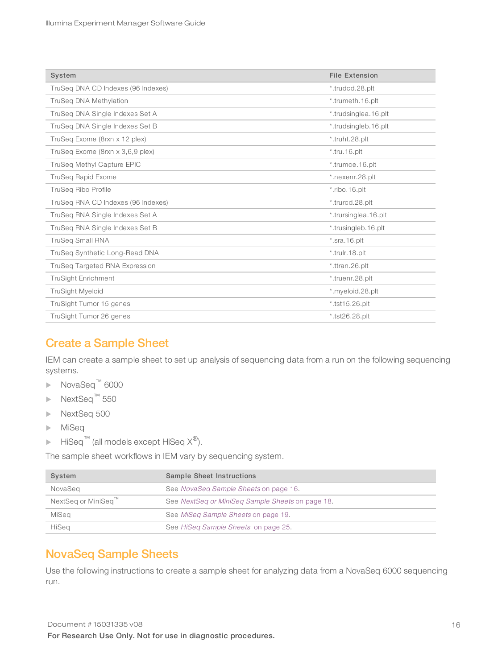| System                                | <b>File Extension</b>        |
|---------------------------------------|------------------------------|
| TruSeg DNA CD Indexes (96 Indexes)    | *.trudcd.28.plt              |
| TruSeg DNA Methylation                | *.trumeth.16.plt             |
| TruSeg DNA Single Indexes Set A       | *.trudsinglea.16.plt         |
| TruSeg DNA Single Indexes Set B       | *.trudsingleb.16.plt         |
| TruSeg Exome (8rxn x 12 plex)         | *.truht.28.plt               |
| TruSeq Exome (8rxn x 3,6,9 plex)      | $*$ .tru.16.plt              |
| TruSeg Methyl Capture EPIC            | *.trumce.16.plt              |
| <b>TruSeg Rapid Exome</b>             | *.nexenr.28.plt              |
| <b>TruSeg Ribo Profile</b>            | *.ribo.16.plt                |
| TruSeq RNA CD Indexes (96 Indexes)    | *.trurcd.28.plt              |
| TruSeq RNA Single Indexes Set A       | *.trursinglea.16.plt         |
| TruSeg RNA Single Indexes Set B       | *.trusingleb.16.plt          |
| <b>TruSeq Small RNA</b>               | $*.\text{sra}.16.\text{plt}$ |
| TruSeg Synthetic Long-Read DNA        | *.trulr.18.plt               |
| <b>TruSeg Targeted RNA Expression</b> | *.ttran.26.plt               |
| <b>TruSight Enrichment</b>            | *.truenr.28.plt              |
| <b>TruSight Myeloid</b>               | *.myeloid.28.plt             |
| TruSight Tumor 15 genes               | $*$ .tst15.26.plt            |
| TruSight Tumor 26 genes               | $*$ .tst26.28.plt            |

# <span id="page-15-0"></span>Create a Sample Sheet

IEM can create a sample sheet to set up analysis of sequencing data from a run on the following sequencing systems.

- ▶ NovaSeq™ 6000
- ▶ NextSeq™ 550
- **NextSeq 500**
- $\blacktriangleright$  MiSeq
- ► HiSeq<sup>™</sup> (all models except HiSeq  $X^{\circledast}$ ).

The sample sheet workflows in IEM vary by sequencing system.

| System             | Sample Sheet Instructions                        |  |
|--------------------|--------------------------------------------------|--|
| NovaSeg            | See NovaSeg Sample Sheets on page 16.            |  |
| NextSeg or MiniSeg | See NextSeq or MiniSeq Sample Sheets on page 18. |  |
| MiSeg              | See MiSeg Sample Sheets on page 19.              |  |
| HiSeg              | See HiSeg Sample Sheets on page 25.              |  |

#### <span id="page-15-1"></span>NovaSeq Sample Sheets

Use the following instructions to create a sample sheet for analyzing data from a NovaSeq 6000 sequencing run.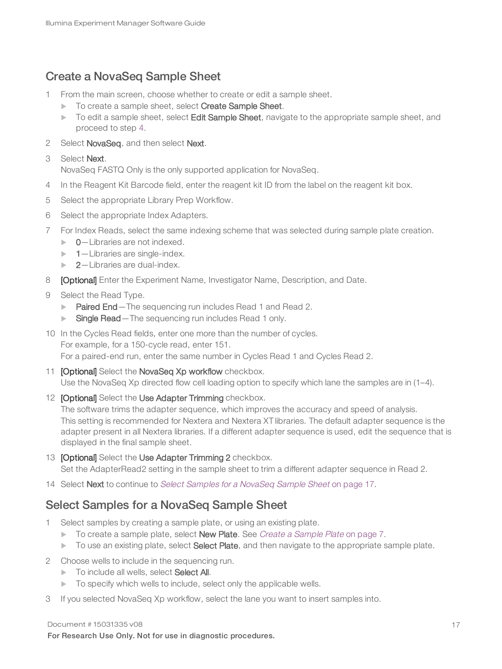## Create a NovaSeq Sample Sheet

- 1 From the main screen, choose whether to create or edit a sample sheet.
	- To create a sample sheet, select Create Sample Sheet.
	- $\triangleright$  To edit a sample sheet, select Edit Sample Sheet, navigate to the appropriate sample sheet, and proceed to step [4](#page-16-0).
- 2 Select NovaSeq, and then select Next.
- 3 Select Next.

<span id="page-16-0"></span>NovaSeq FASTQ Only is the only supported application for NovaSeq.

- 4 In the Reagent Kit Barcode field, enter the reagent kit ID from the label on the reagent kit box.
- 5 Select the appropriate Library Prep Workflow.
- 6 Select the appropriate Index Adapters.
- 7 For Index Reads, select the same indexing scheme that was selected during sample plate creation.
	- $\triangleright$  0-Libraries are not indexed.
	- $\blacktriangleright$  1-Libraries are single-index.
	- $\blacktriangleright$  2-Libraries are dual-index.
- 8 **[Optional]** Enter the Experiment Name, Investigator Name, Description, and Date.
- 9 Select the Read Type.
	- **Paired End**—The sequencing run includes Read 1 and Read 2.
	- Single Read The sequencing run includes Read 1 only.
- 10 In the Cycles Read fields, enter one more than the number of cycles. For example, for a 150-cycle read, enter 151. For a paired-end run, enter the same number in Cycles Read 1 and Cycles Read 2.
- 11 **[Optional]** Select the NovaSeq Xp workflow checkbox. Use the NovaSeq Xp directed flow cell loading option to specify which lane the samples are in (1–4).
- 12 [Optional] Select the Use Adapter Trimming checkbox.

The software trims the adapter sequence, which improves the accuracy and speed of analysis. This setting is recommended for Nextera and Nextera XT libraries. The default adapter sequence is the adapter present in all Nextera libraries. If a different adapter sequence is used, edit the sequence that is displayed in the final sample sheet.

- 13 **[Optional]** Select the Use Adapter Trimming 2 checkbox. Set the AdapterRead2 setting in the sample sheet to trim a different adapter sequence in Read 2.
- <span id="page-16-1"></span>14 Select Next to continue to Select Samples for a [NovaSeq](#page-16-1) Sample Sheet on page 17.

#### Select Samples for a NovaSeq Sample Sheet

- 1 Select samples by creating a sample plate, or using an existing plate.
	- ▶ To create a sample plate, select New Plate. See Create a [Sample](#page-6-0) Plate on page 7.
	- $\triangleright$  To use an existing plate, select **Select Plate**, and then navigate to the appropriate sample plate.
- 2 Choose wells to include in the sequencing run.
	- To include all wells, select Select All.
	- $\triangleright$  To specify which wells to include, select only the applicable wells.
- 3 If you selected NovaSeq Xp workflow, select the lane you want to insert samples into.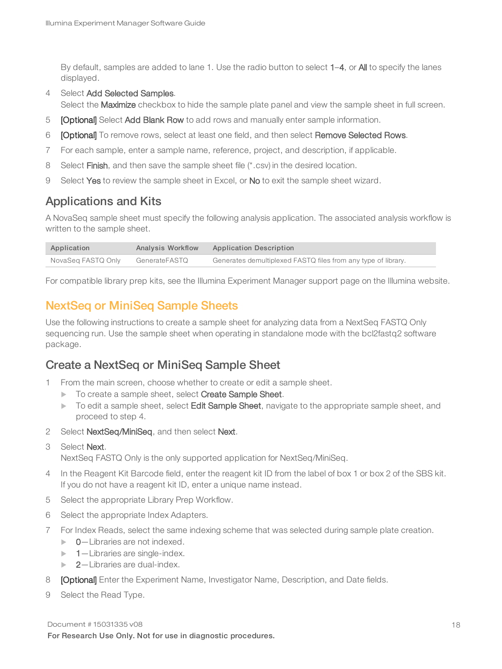By default, samples are added to lane 1. Use the radio button to select 1–4, or All to specify the lanes displayed.

4 Select Add Selected Samples.

Select the Maximize checkbox to hide the sample plate panel and view the sample sheet in full screen.

- 5 [Optional] Select Add Blank Row to add rows and manually enter sample information.
- 6 [Optional] To remove rows, select at least one field, and then select Remove Selected Rows.
- 7 For each sample, enter a sample name, reference, project, and description, if applicable.
- 8 Select Finish, and then save the sample sheet file (\*.csv) in the desired location.
- 9 Select Yes to review the sample sheet in Excel, or No to exit the sample sheet wizard.

## Applications and Kits

A NovaSeq sample sheet must specify the following analysis application. The associated analysis workflow is written to the sample sheet.

| Application        | Analysis Workflow | Application Description                                       |
|--------------------|-------------------|---------------------------------------------------------------|
| NovaSeg FASTQ Only | GenerateFASTQ     | Generates demultiplexed FASTQ files from any type of library. |

<span id="page-17-0"></span>For compatible library prep kits, see the Illumina Experiment Manager support page on the Illumina website.

## NextSeq or MiniSeq Sample Sheets

Use the following instructions to create a sample sheet for analyzing data from a NextSeq FASTQ Only sequencing run. Use the sample sheet when operating in standalone mode with the bcl2fastq2 software package.

#### Create a NextSeq or MiniSeq Sample Sheet

- 1 From the main screen, choose whether to create or edit a sample sheet.
	- To create a sample sheet, select Create Sample Sheet.
	- $\triangleright$  To edit a sample sheet, select Edit Sample Sheet, navigate to the appropriate sample sheet, and proceed to step 4.
- 2 Select NextSeq/MiniSeq, and then select Next.
- 3 Select Next.

NextSeq FASTQ Only is the only supported application for NextSeq/MiniSeq.

- 4 In the Reagent Kit Barcode field, enter the reagent kit ID from the label of box 1 or box 2 of the SBS kit. If you do not have a reagent kit ID, enter a unique name instead.
- 5 Select the appropriate Library Prep Workflow.
- 6 Select the appropriate Index Adapters.
- 7 For Index Reads, select the same indexing scheme that was selected during sample plate creation.
	- $\triangleright$  0-Libraries are not indexed.
	- $\blacktriangleright$  1-Libraries are single-index.
	- $\blacktriangleright$  2-Libraries are dual-index.
- 8 **[Optional]** Enter the Experiment Name, Investigator Name, Description, and Date fields.
- 9 Select the Read Type.

#### Document # 15031335 v08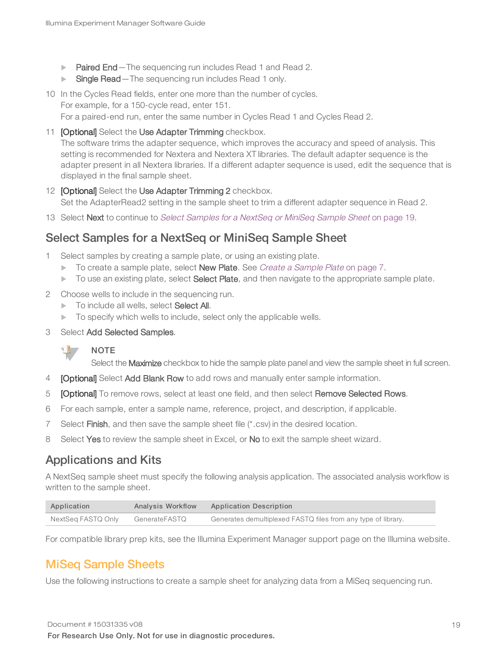- ▶ Paired End The sequencing run includes Read 1 and Read 2.
- Single Read The sequencing run includes Read 1 only.
- 10 In the Cycles Read fields, enter one more than the number of cycles. For example, for a 150-cycle read, enter 151.

For a paired-end run, enter the same number in Cycles Read 1 and Cycles Read 2.

11 **[Optional]** Select the Use Adapter Trimming checkbox.

The software trims the adapter sequence, which improves the accuracy and speed of analysis. This setting is recommended for Nextera and Nextera XT libraries. The default adapter sequence is the adapter present in all Nextera libraries. If a different adapter sequence is used, edit the sequence that is displayed in the final sample sheet.

- 12 [Optional] Select the Use Adapter Trimming 2 checkbox. Set the AdapterRead2 setting in the sample sheet to trim a different adapter sequence in Read 2.
- <span id="page-18-1"></span>13 Select Next to continue to Select [Samples](#page-18-1) for a NextSeq or MiniSeq Sample Sheet on page 19.

#### Select Samples for a NextSeq or MiniSeq Sample Sheet

- 1 Select samples by creating a sample plate, or using an existing plate.
	- $\triangleright$  To create a sample plate, select **New Plate**. See *Create a [Sample](#page-6-0) Plate* on page 7.
	- To use an existing plate, select Select Plate, and then navigate to the appropriate sample plate.
- 2 Choose wells to include in the sequencing run.
	- $\triangleright$  To include all wells, select **Select All.**
	- $\triangleright$  To specify which wells to include, select only the applicable wells.
- 3 Select Add Selected Samples.



**NOTE** 

Select the Maximize checkbox to hide the sample plate panel and view the sample sheet in full screen.

- 4 **[Optional]** Select Add Blank Row to add rows and manually enter sample information.
- 5 [Optional] To remove rows, select at least one field, and then select Remove Selected Rows.
- 6 For each sample, enter a sample name, reference, project, and description, if applicable.
- 7 Select Finish, and then save the sample sheet file (\*.csv) in the desired location.
- 8 Select Yes to review the sample sheet in Excel, or No to exit the sample sheet wizard.

#### Applications and Kits

A NextSeq sample sheet must specify the following analysis application. The associated analysis workflow is written to the sample sheet.

| Application        | Analysis Workflow | Application Description                                       |
|--------------------|-------------------|---------------------------------------------------------------|
| NextSea FASTQ Only | GenerateFASTQ     | Generates demultiplexed FASTQ files from any type of library. |

<span id="page-18-0"></span>For compatible library prep kits, see the Illumina Experiment Manager support page on the Illumina website.

#### MiSeq Sample Sheets

Use the following instructions to create a sample sheet for analyzing data from a MiSeq sequencing run.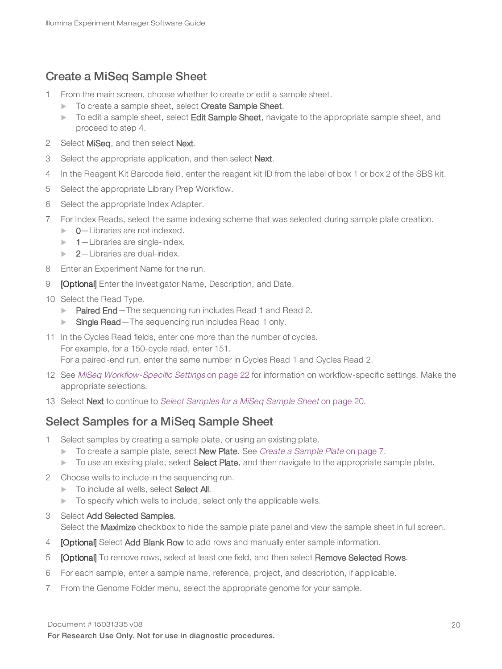### <span id="page-19-0"></span>Create a MiSeq Sample Sheet

- 1 From the main screen, choose whether to create or edit a sample sheet.
	- To create a sample sheet, select Create Sample Sheet.
	- $\triangleright$  To edit a sample sheet, select Edit Sample Sheet, navigate to the appropriate sample sheet, and proceed to step 4.
- 2 Select MiSeq, and then select Next.
- 3 Select the appropriate application, and then select **Next**.
- 4 In the Reagent Kit Barcode field, enter the reagent kit ID from the label of box 1 or box 2 of the SBS kit.
- 5 Select the appropriate Library Prep Workflow.
- 6 Select the appropriate Index Adapter.
- 7 For Index Reads, select the same indexing scheme that was selected during sample plate creation.
	- $\triangleright$  0-Libraries are not indexed.
	- $\blacktriangleright$  1-Libraries are single-index.
	- $\blacktriangleright$  2-Libraries are dual-index.
- 8 Enter an Experiment Name for the run.
- 9 **[Optional]** Enter the Investigator Name, Description, and Date.
- 10 Select the Read Type.
	- **Paired End**—The sequencing run includes Read 1 and Read 2.
	- Single Read The sequencing run includes Read 1 only.
- 11 In the Cycles Read fields, enter one more than the number of cycles. For example, for a 150-cycle read, enter 151. For a paired-end run, enter the same number in Cycles Read 1 and Cycles Read 2.
- 12 See MiSeq [Workflow-Specific](#page-21-0) Settings on page 22 for information on workflow-specific settings. Make the appropriate selections.
- <span id="page-19-1"></span>13 Select Next to continue to Select [Samples](#page-19-1) for a MiSeq Sample Sheet on page 20.

#### Select Samples for a MiSeq Sample Sheet

- 1 Select samples by creating a sample plate, or using an existing plate.
	- ▶ To create a sample plate, select New Plate. See Create a [Sample](#page-6-0) Plate on page 7.
	- To use an existing plate, select Select Plate, and then navigate to the appropriate sample plate.
- 2 Choose wells to include in the sequencing run.
	- To include all wells, select Select All.
	- $\blacktriangleright$  To specify which wells to include, select only the applicable wells.
- 3 Select Add Selected Samples. Select the Maximize checkbox to hide the sample plate panel and view the sample sheet in full screen.
- 4 **[Optional]** Select Add Blank Row to add rows and manually enter sample information.
- 5 [Optional] To remove rows, select at least one field, and then select Remove Selected Rows.
- 6 For each sample, enter a sample name, reference, project, and description, if applicable.
- 7 From the Genome Folder menu, select the appropriate genome for your sample.

Document # 15031335 v08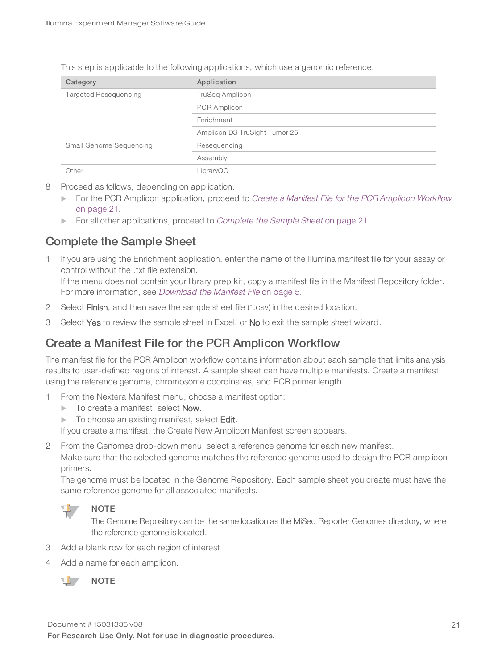This step is applicable to the following applications, which use a genomic reference.

| Category                     | Application                   |
|------------------------------|-------------------------------|
| <b>Targeted Resequencing</b> | <b>TruSeg Amplicon</b>        |
|                              | <b>PCR Amplicon</b>           |
|                              | Enrichment                    |
|                              | Amplicon DS TruSight Tumor 26 |
| Small Genome Sequencing      | Resequencing                  |
|                              | Assembly                      |
| Other                        | LibraryQC                     |

- 8 Proceed as follows, depending on application.
	- For the [PCR Amplicon](#page-20-0) application, proceed to *Create a Manifest File for the PCR Amplicon Workflow* on [page](#page-20-0) 21.
	- For all other applications, proceed to *[Complete](#page-20-1) the Sample Sheet* on page 21.

#### <span id="page-20-1"></span>Complete the Sample Sheet

1 If you are using the Enrichment application, enter the name of the Illumina manifest file for your assay or control without the .txt file extension.

If the menu does not contain your library prep kit, copy a manifest file in the Manifest Repository folder. For more information, see [Download](#page-4-0) the Manifest File on page 5.

- 2 Select Finish, and then save the sample sheet file (\*.csv) in the desired location.
- <span id="page-20-0"></span>3 Select Yes to review the sample sheet in Excel, or No to exit the sample sheet wizard.

#### Create a Manifest File for the PCR Amplicon Workflow

The manifest file for the PCR Amplicon workflow contains information about each sample that limits analysis results to user-defined regions of interest. A sample sheet can have multiple manifests. Create a manifest using the reference genome, chromosome coordinates, and PCR primer length.

- 1 From the Nextera Manifest menu, choose a manifest option:
	- $\triangleright$  To create a manifest, select **New**.
	- $\triangleright$  To choose an existing manifest, select Edit.

If you create a manifest, the Create New Amplicon Manifest screen appears.

2 From the Genomes drop-down menu, select a reference genome for each new manifest.

Make sure that the selected genome matches the reference genome used to design the PCR amplicon primers.

The genome must be located in the Genome Repository. Each sample sheet you create must have the same reference genome for all associated manifests.



#### **NOTE**

The Genome Repository can be the same location as the MiSeq Reporter Genomes directory, where the reference genome is located.

- 3 Add a blank row for each region of interest
- 4 Add a name for each amplicon.

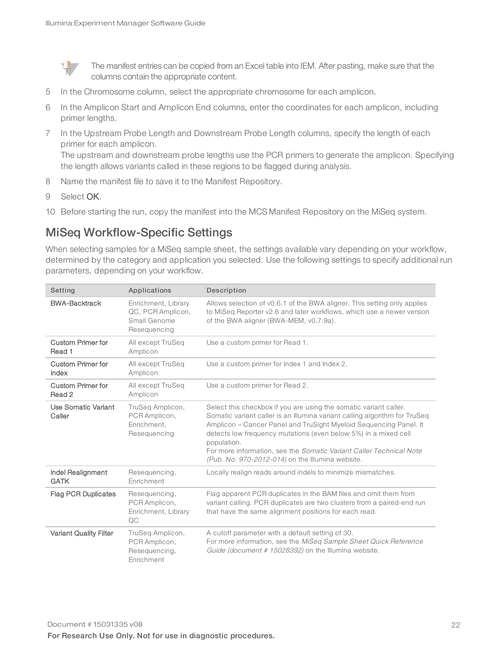

The manifest entries can be copied from an Excel table into IEM. After pasting, make sure that the columns contain the appropriate content.

- 5 In the Chromosome column, select the appropriate chromosome for each amplicon.
- 6 In the Amplicon Start and Amplicon End columns, enter the coordinates for each amplicon, including primer lengths.
- 7 In the Upstream Probe Length and Downstream Probe Length columns, specify the length of each primer for each amplicon.

The upstream and downstream probe lengths use the PCR primers to generate the amplicon. Specifying the length allows variants called in these regions to be flagged during analysis.

- 8 Name the manifest file to save it to the Manifest Repository.
- 9 Select OK.
- <span id="page-21-0"></span>10 Before starting the run, copy the manifest into the MCS Manifest Repository on the MiSeq system.

#### MiSeq Workflow-Specific Settings

When selecting samples for a MiSeq sample sheet, the settings available vary depending on your workflow, determined by the category and application you selected. Use the following settings to specify additional run parameters, depending on your workflow.

| Setting                                 | Applications                                                             | Description                                                                                                                                                                                                                                                                                                                                                                                                                       |
|-----------------------------------------|--------------------------------------------------------------------------|-----------------------------------------------------------------------------------------------------------------------------------------------------------------------------------------------------------------------------------------------------------------------------------------------------------------------------------------------------------------------------------------------------------------------------------|
| <b>BWA-Backtrack</b>                    | Enrichment, Library<br>QC, PCR Amplicon,<br>Small Genome<br>Resequencing | Allows selection of v0.6.1 of the BWA aligner. This setting only applies<br>to MiSeq Reporter v2.6 and later workflows, which use a newer version<br>of the BWA aligner (BWA-MEM, v0.7.9a).                                                                                                                                                                                                                                       |
| <b>Custom Primer for</b><br>Read 1      | All except TruSeq<br>Amplicon                                            | Use a custom primer for Read 1.                                                                                                                                                                                                                                                                                                                                                                                                   |
| <b>Custom Primer for</b><br>Index       | All except TruSeg<br>Amplicon                                            | Use a custom primer for Index 1 and Index 2.                                                                                                                                                                                                                                                                                                                                                                                      |
| <b>Custom Primer for</b><br>Read 2      | All except TruSeq<br>Amplicon                                            | Use a custom primer for Read 2.                                                                                                                                                                                                                                                                                                                                                                                                   |
| Use Somatic Variant<br>Caller           | TruSeq Amplicon,<br>PCR Amplicon,<br>Enrichment.<br>Resequencing         | Select this checkbox if you are using the somatic variant caller.<br>Somatic variant caller is an Illumina variant calling algorithm for TruSeq<br>Amplicon – Cancer Panel and TruSight Myeloid Sequencing Panel. It<br>detects low frequency mutations (even below 5%) in a mixed cell<br>population.<br>For more information, see the Somatic Variant Caller Technical Note<br>(Pub. No. 970-2012-014) on the Illumina website. |
| <b>Indel Realignment</b><br><b>GATK</b> | Resequencing,<br>Enrichment                                              | Locally realign reads around indels to minimize mismatches.                                                                                                                                                                                                                                                                                                                                                                       |
| <b>Flag PCR Duplicates</b>              | Resequencing,<br>PCR Amplicon,<br>Enrichment, Library<br>QC              | Flag apparent PCR duplicates in the BAM files and omit them from<br>variant calling. PCR duplicates are two clusters from a paired-end run<br>that have the same alignment positions for each read.                                                                                                                                                                                                                               |
| Variant Quality Filter                  | TruSeq Amplicon,<br>PCR Amplicon,<br>Resequencing,<br>Enrichment         | A cutoff parameter with a default setting of 30.<br>For more information, see the MiSeq Sample Sheet Quick Reference<br>Guide (document # 15028392) on the Illumina website.                                                                                                                                                                                                                                                      |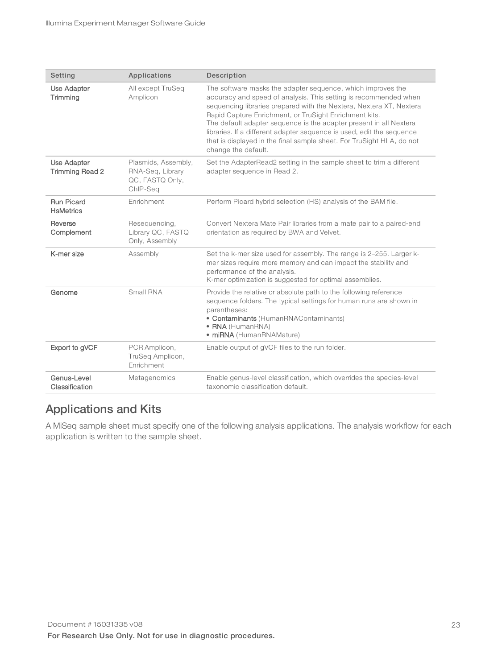| Setting                               | Applications                                                           | Description                                                                                                                                                                                                                                                                                                                                                                                                                                                                                                     |
|---------------------------------------|------------------------------------------------------------------------|-----------------------------------------------------------------------------------------------------------------------------------------------------------------------------------------------------------------------------------------------------------------------------------------------------------------------------------------------------------------------------------------------------------------------------------------------------------------------------------------------------------------|
| Use Adapter<br>Trimming               | All except TruSeg<br>Amplicon                                          | The software masks the adapter sequence, which improves the<br>accuracy and speed of analysis. This setting is recommended when<br>sequencing libraries prepared with the Nextera, Nextera XT, Nextera<br>Rapid Capture Enrichment, or TruSight Enrichment kits.<br>The default adapter sequence is the adapter present in all Nextera<br>libraries. If a different adapter sequence is used, edit the sequence<br>that is displayed in the final sample sheet. For TruSight HLA, do not<br>change the default. |
| Use Adapter<br><b>Trimming Read 2</b> | Plasmids, Assembly,<br>RNA-Seq, Library<br>QC, FASTQ Only,<br>ChIP-Seg | Set the AdapterRead2 setting in the sample sheet to trim a different<br>adapter sequence in Read 2.                                                                                                                                                                                                                                                                                                                                                                                                             |
| <b>Run Picard</b><br><b>HsMetrics</b> | Enrichment                                                             | Perform Picard hybrid selection (HS) analysis of the BAM file.                                                                                                                                                                                                                                                                                                                                                                                                                                                  |
| Reverse<br>Complement                 | Resequencing,<br>Library QC, FASTQ<br>Only, Assembly                   | Convert Nextera Mate Pair libraries from a mate pair to a paired-end<br>orientation as required by BWA and Velvet.                                                                                                                                                                                                                                                                                                                                                                                              |
| K-mer size                            | Assembly                                                               | Set the k-mer size used for assembly. The range is 2-255. Larger k-<br>mer sizes require more memory and can impact the stability and<br>performance of the analysis.<br>K-mer optimization is suggested for optimal assemblies.                                                                                                                                                                                                                                                                                |
| Genome                                | Small RNA                                                              | Provide the relative or absolute path to the following reference<br>sequence folders. The typical settings for human runs are shown in<br>parentheses:<br>• Contaminants (HumanRNAContaminants)<br>• RNA (HumanRNA)<br>• miRNA (HumanRNAMature)                                                                                                                                                                                                                                                                 |
| Export to gVCF                        | PCR Amplicon,<br>TruSeq Amplicon,<br>Enrichment                        | Enable output of gVCF files to the run folder.                                                                                                                                                                                                                                                                                                                                                                                                                                                                  |
| Genus-Level<br>Classification         | Metagenomics                                                           | Enable genus-level classification, which overrides the species-level<br>taxonomic classification default.                                                                                                                                                                                                                                                                                                                                                                                                       |

# Applications and Kits

A MiSeq sample sheet must specify one of the following analysis applications. The analysis workflow for each application is written to the sample sheet.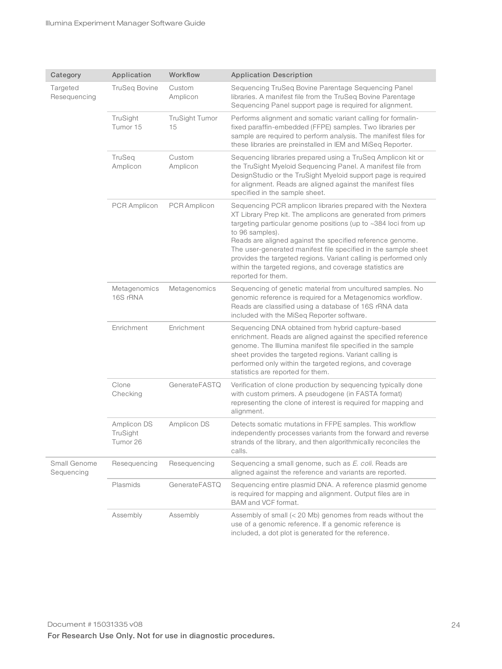| Category                   | Application                         | Workflow             | <b>Application Description</b>                                                                                                                                                                                                                                                                                                                                                                                                                                                                         |
|----------------------------|-------------------------------------|----------------------|--------------------------------------------------------------------------------------------------------------------------------------------------------------------------------------------------------------------------------------------------------------------------------------------------------------------------------------------------------------------------------------------------------------------------------------------------------------------------------------------------------|
| Targeted<br>Resequencing   | <b>TruSeq Bovine</b>                | Custom<br>Amplicon   | Sequencing TruSeq Bovine Parentage Sequencing Panel<br>libraries. A manifest file from the TruSeq Bovine Parentage<br>Sequencing Panel support page is required for alignment.                                                                                                                                                                                                                                                                                                                         |
|                            | TruSight<br>Tumor 15                | TruSight Tumor<br>15 | Performs alignment and somatic variant calling for formalin-<br>fixed paraffin-embedded (FFPE) samples. Two libraries per<br>sample are required to perform analysis. The manifest files for<br>these libraries are preinstalled in IEM and MiSeq Reporter.                                                                                                                                                                                                                                            |
|                            | TruSeq<br>Amplicon                  | Custom<br>Amplicon   | Sequencing libraries prepared using a TruSeq Amplicon kit or<br>the TruSight Myeloid Sequencing Panel. A manifest file from<br>DesignStudio or the TruSight Myeloid support page is required<br>for alignment. Reads are aligned against the manifest files<br>specified in the sample sheet.                                                                                                                                                                                                          |
|                            | <b>PCR Amplicon</b>                 | PCR Amplicon         | Sequencing PCR amplicon libraries prepared with the Nextera<br>XT Library Prep kit. The amplicons are generated from primers<br>targeting particular genome positions (up to ~384 loci from up<br>to 96 samples).<br>Reads are aligned against the specified reference genome.<br>The user-generated manifest file specified in the sample sheet<br>provides the targeted regions. Variant calling is performed only<br>within the targeted regions, and coverage statistics are<br>reported for them. |
|                            | Metagenomics<br>16S rRNA            | Metagenomics         | Sequencing of genetic material from uncultured samples. No<br>genomic reference is required for a Metagenomics workflow.<br>Reads are classified using a database of 16S rRNA data<br>included with the MiSeq Reporter software.                                                                                                                                                                                                                                                                       |
|                            | Enrichment                          | Enrichment           | Sequencing DNA obtained from hybrid capture-based<br>enrichment. Reads are aligned against the specified reference<br>genome. The Illumina manifest file specified in the sample<br>sheet provides the targeted regions. Variant calling is<br>performed only within the targeted regions, and coverage<br>statistics are reported for them.                                                                                                                                                           |
|                            | Clone<br>Checking                   | GenerateFASTQ        | Verification of clone production by sequencing typically done<br>with custom primers. A pseudogene (in FASTA format)<br>representing the clone of interest is required for mapping and<br>alignment.                                                                                                                                                                                                                                                                                                   |
|                            | Amplicon DS<br>TruSight<br>Tumor 26 | Amplicon DS          | Detects somatic mutations in FFPE samples. This workflow<br>independently processes variants from the forward and reverse<br>strands of the library, and then algorithmically reconciles the<br>calls.                                                                                                                                                                                                                                                                                                 |
| Small Genome<br>Sequencing | Resequencing                        | Resequencing         | Sequencing a small genome, such as E. coli. Reads are<br>aligned against the reference and variants are reported.                                                                                                                                                                                                                                                                                                                                                                                      |
|                            | Plasmids                            | GenerateFASTQ        | Sequencing entire plasmid DNA. A reference plasmid genome<br>is required for mapping and alignment. Output files are in<br>BAM and VCF format.                                                                                                                                                                                                                                                                                                                                                         |
|                            | Assembly                            | Assembly             | Assembly of small (< 20 Mb) genomes from reads without the<br>use of a genomic reference. If a genomic reference is<br>included, a dot plot is generated for the reference.                                                                                                                                                                                                                                                                                                                            |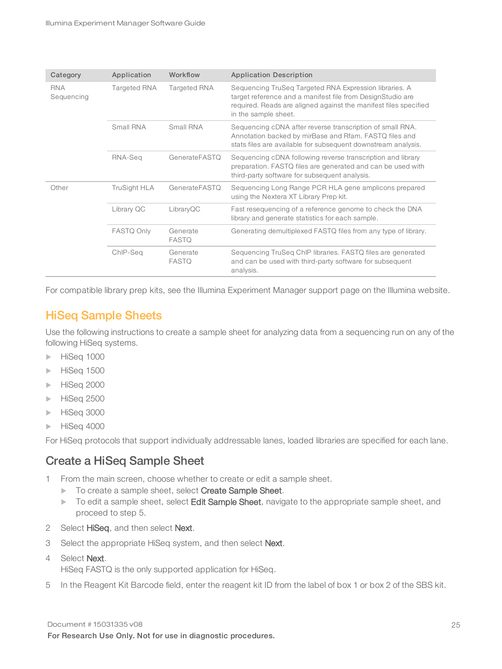| Category                 | Application         | Workflow                 | <b>Application Description</b>                                                                                                                                                                                   |
|--------------------------|---------------------|--------------------------|------------------------------------------------------------------------------------------------------------------------------------------------------------------------------------------------------------------|
| <b>RNA</b><br>Sequencing | <b>Targeted RNA</b> | <b>Targeted RNA</b>      | Sequencing TruSeq Targeted RNA Expression libraries. A<br>target reference and a manifest file from DesignStudio are<br>required. Reads are aligned against the manifest files specified<br>in the sample sheet. |
|                          | Small RNA           | Small RNA                | Sequencing cDNA after reverse transcription of small RNA.<br>Annotation backed by mirBase and Rfam. FASTQ files and<br>stats files are available for subsequent downstream analysis.                             |
|                          | RNA-Seg             | GenerateFASTO            | Sequencing cDNA following reverse transcription and library<br>preparation. FASTQ files are generated and can be used with<br>third-party software for subsequent analysis.                                      |
| Other                    | TruSight HLA        | GenerateFASTO            | Sequencing Long Range PCR HLA gene amplicons prepared<br>using the Nextera XT Library Prep kit.                                                                                                                  |
|                          | Library QC          | LibraryQC                | Fast resequencing of a reference genome to check the DNA<br>library and generate statistics for each sample.                                                                                                     |
|                          | <b>FASTQ Only</b>   | Generate<br><b>FASTQ</b> | Generating demultiplexed FASTQ files from any type of library.                                                                                                                                                   |
|                          | ChIP-Seg            | Generate<br><b>FASTQ</b> | Sequencing TruSeq ChIP libraries. FASTQ files are generated<br>and can be used with third-party software for subsequent<br>analysis.                                                                             |

<span id="page-24-0"></span>For compatible library prep kits, see the Illumina Experiment Manager support page on the Illumina website.

#### HiSeq Sample Sheets

Use the following instructions to create a sample sheet for analyzing data from a sequencing run on any of the following HiSeq systems.

- $\blacktriangleright$  HiSeq 1000
- $\blacktriangleright$  HiSeq 1500
- $\blacktriangleright$  HiSeq 2000
- $\blacktriangleright$  HiSeq 2500
- $\blacktriangleright$  HiSeq 3000
- $\blacktriangleright$  HiSeq 4000

For HiSeq protocols that support individually addressable lanes, loaded libraries are specified for each lane.

#### Create a HiSeq Sample Sheet

- 1 From the main screen, choose whether to create or edit a sample sheet.
	- To create a sample sheet, select Create Sample Sheet.
	- To edit a sample sheet, select Edit Sample Sheet, navigate to the appropriate sample sheet, and proceed to step 5.
- 2 Select HiSeq, and then select Next.
- 3 Select the appropriate HiSeq system, and then select Next.
- 4 Select Next.

HiSeq FASTQ is the only supported application for HiSeq.

5 In the Reagent Kit Barcode field, enter the reagent kit ID from the label of box 1 or box 2 of the SBS kit.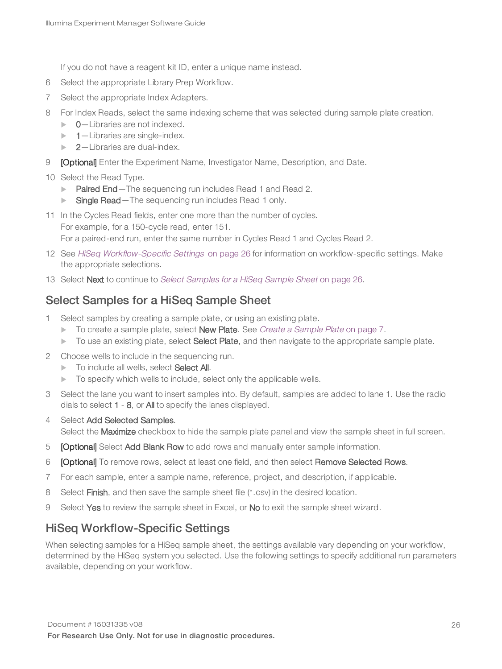If you do not have a reagent kit ID, enter a unique name instead.

- 6 Select the appropriate Library Prep Workflow.
- 7 Select the appropriate Index Adapters.
- 8 For Index Reads, select the same indexing scheme that was selected during sample plate creation.
	- $\triangleright$  0-Libraries are not indexed.
	- $\blacktriangleright$  1 Libraries are single-index.
	- $\blacktriangleright$  2-Libraries are dual-index.
- 9 **[Optional]** Enter the Experiment Name, Investigator Name, Description, and Date.
- 10 Select the Read Type.
	- $\triangleright$  Paired End—The sequencing run includes Read 1 and Read 2.
	- $\triangleright$  Single Read The sequencing run includes Read 1 only.
- 11 In the Cycles Read fields, enter one more than the number of cycles. For example, for a 150-cycle read, enter 151. For a paired-end run, enter the same number in Cycles Read 1 and Cycles Read 2.
- 12 See HiSeq [Workflow-Specific](#page-25-0) Settings on page 26 for information on workflow-specific settings. Make the appropriate selections.
- <span id="page-25-1"></span>13 Select Next to continue to Select [Samples](#page-25-1) for a HiSeq Sample Sheet on page 26.

#### Select Samples for a HiSeq Sample Sheet

- 1 Select samples by creating a sample plate, or using an existing plate.
	- ▶ To create a sample plate, select New Plate. See Create a [Sample](#page-6-0) Plate on page 7.
	- $\triangleright$  To use an existing plate, select **Select Plate**, and then navigate to the appropriate sample plate.
- 2 Choose wells to include in the sequencing run.
	- To include all wells, select Select All.
	- $\triangleright$  To specify which wells to include, select only the applicable wells.
- 3 Select the lane you want to insert samples into. By default, samples are added to lane 1. Use the radio dials to select 1 - 8, or All to specify the lanes displayed.
- 4 Select Add Selected Samples. Select the Maximize checkbox to hide the sample plate panel and view the sample sheet in full screen.
- 5 [Optional] Select Add Blank Row to add rows and manually enter sample information.
- 6 [Optional] To remove rows, select at least one field, and then select Remove Selected Rows.
- 7 For each sample, enter a sample name, reference, project, and description, if applicable.
- 8 Select Finish, and then save the sample sheet file (\*.csv) in the desired location.
- <span id="page-25-0"></span>9 Select Yes to review the sample sheet in Excel, or No to exit the sample sheet wizard.

#### HiSeq Workflow-Specific Settings

When selecting samples for a HiSeq sample sheet, the settings available vary depending on your workflow, determined by the HiSeq system you selected. Use the following settings to specify additional run parameters available, depending on your workflow.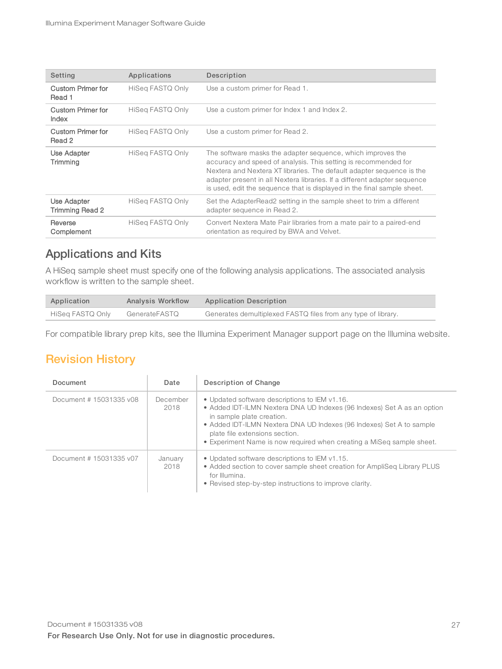| Setting                               | Applications     | Description                                                                                                                                                                                                                                                                                                                                                     |
|---------------------------------------|------------------|-----------------------------------------------------------------------------------------------------------------------------------------------------------------------------------------------------------------------------------------------------------------------------------------------------------------------------------------------------------------|
| <b>Custom Primer for</b><br>Read 1    | HiSeg FASTQ Only | Use a custom primer for Read 1.                                                                                                                                                                                                                                                                                                                                 |
| <b>Custom Primer for</b><br>Index     | HiSeg FASTQ Only | Use a custom primer for lndex 1 and lndex 2.                                                                                                                                                                                                                                                                                                                    |
| <b>Custom Primer for</b><br>Read 2    | HiSeg FASTQ Only | Use a custom primer for Read 2.                                                                                                                                                                                                                                                                                                                                 |
| Use Adapter<br>Trimming               | HiSeg FASTQ Only | The software masks the adapter sequence, which improves the<br>accuracy and speed of analysis. This setting is recommended for<br>Nextera and Nextera XT libraries. The default adapter sequence is the<br>adapter present in all Nextera libraries. If a different adapter sequence<br>is used, edit the sequence that is displayed in the final sample sheet. |
| Use Adapter<br><b>Trimming Read 2</b> | HiSeg FASTQ Only | Set the AdapterRead2 setting in the sample sheet to trim a different<br>adapter sequence in Read 2.                                                                                                                                                                                                                                                             |
| Reverse<br>Complement                 | HiSeg FASTQ Only | Convert Nextera Mate Pair libraries from a mate pair to a paired-end<br>orientation as required by BWA and Velvet.                                                                                                                                                                                                                                              |

#### Applications and Kits

A HiSeq sample sheet must specify one of the following analysis applications. The associated analysis workflow is written to the sample sheet.

| Application      | Analysis Workflow | Application Description                                       |
|------------------|-------------------|---------------------------------------------------------------|
| HiSea FASTQ Only | GenerateFASTQ     | Generates demultiplexed FASTQ files from any type of library. |

<span id="page-26-0"></span>For compatible library prep kits, see the Illumina Experiment Manager support page on the Illumina website.

# Revision History

| Document                | Date             | Description of Change                                                                                                                                                                                                                                                                                                                    |
|-------------------------|------------------|------------------------------------------------------------------------------------------------------------------------------------------------------------------------------------------------------------------------------------------------------------------------------------------------------------------------------------------|
| Document # 15031335 v08 | December<br>2018 | • Updated software descriptions to IEM v1.16.<br>• Added IDT-ILMN Nextera DNA UD Indexes (96 Indexes) Set A as an option<br>in sample plate creation.<br>• Added IDT-ILMN Nextera DNA UD Indexes (96 Indexes) Set A to sample<br>plate file extensions section.<br>• Experiment Name is now required when creating a MiSeq sample sheet. |
| Document # 15031335 v07 | January<br>2018  | • Updated software descriptions to IEM v1.15.<br>• Added section to cover sample sheet creation for AmpliSeg Library PLUS<br>for Illumina.<br>• Revised step-by-step instructions to improve clarity.                                                                                                                                    |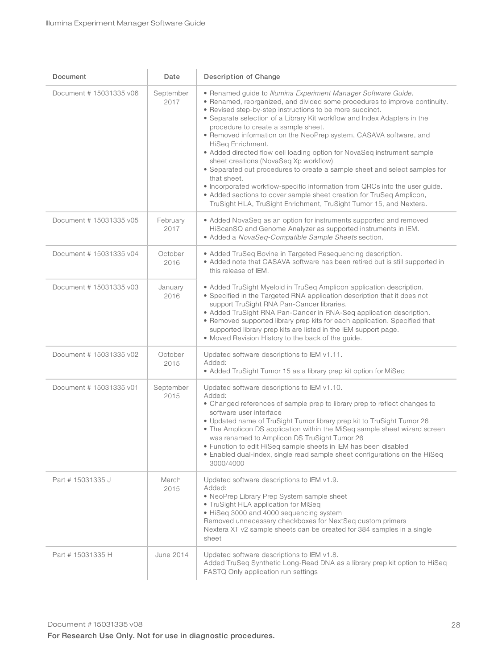| Document                | Date              | Description of Change                                                                                                                                                                                                                                                                                                                                                                                                                                                                                                                                                                                                                                                                                                                                                                                                                                               |
|-------------------------|-------------------|---------------------------------------------------------------------------------------------------------------------------------------------------------------------------------------------------------------------------------------------------------------------------------------------------------------------------------------------------------------------------------------------------------------------------------------------------------------------------------------------------------------------------------------------------------------------------------------------------------------------------------------------------------------------------------------------------------------------------------------------------------------------------------------------------------------------------------------------------------------------|
| Document # 15031335 v06 | September<br>2017 | • Renamed guide to Illumina Experiment Manager Software Guide.<br>· Renamed, reorganized, and divided some procedures to improve continuity.<br>• Revised step-by-step instructions to be more succinct.<br>• Separate selection of a Library Kit workflow and Index Adapters in the<br>procedure to create a sample sheet.<br>• Removed information on the NeoPrep system, CASAVA software, and<br>HiSeg Enrichment.<br>• Added directed flow cell loading option for NovaSeq instrument sample<br>sheet creations (NovaSeq Xp workflow)<br>• Separated out procedures to create a sample sheet and select samples for<br>that sheet.<br>• Incorporated workflow-specific information from QRCs into the user guide.<br>• Added sections to cover sample sheet creation for TruSeq Amplicon,<br>TruSight HLA, TruSight Enrichment, TruSight Tumor 15, and Nextera. |
| Document # 15031335 v05 | February<br>2017  | • Added NovaSeq as an option for instruments supported and removed<br>HiScanSQ and Genome Analyzer as supported instruments in IEM.<br>• Added a NovaSeq-Compatible Sample Sheets section.                                                                                                                                                                                                                                                                                                                                                                                                                                                                                                                                                                                                                                                                          |
| Document # 15031335 v04 | October<br>2016   | • Added TruSeq Bovine in Targeted Resequencing description.<br>• Added note that CASAVA software has been retired but is still supported in<br>this release of IEM.                                                                                                                                                                                                                                                                                                                                                                                                                                                                                                                                                                                                                                                                                                 |
| Document # 15031335 v03 | January<br>2016   | • Added TruSight Myeloid in TruSeq Amplicon application description.<br>• Specified in the Targeted RNA application description that it does not<br>support TruSight RNA Pan-Cancer libraries.<br>• Added TruSight RNA Pan-Cancer in RNA-Seq application description.<br>• Removed supported library prep kits for each application. Specified that<br>supported library prep kits are listed in the IEM support page.<br>. Moved Revision History to the back of the guide.                                                                                                                                                                                                                                                                                                                                                                                        |
| Document # 15031335 v02 | October<br>2015   | Updated software descriptions to IEM v1.11.<br>Added:<br>• Added TruSight Tumor 15 as a library prep kit option for MiSeq                                                                                                                                                                                                                                                                                                                                                                                                                                                                                                                                                                                                                                                                                                                                           |
| Document # 15031335 v01 | September<br>2015 | Updated software descriptions to IEM v1.10.<br>Added:<br>• Changed references of sample prep to library prep to reflect changes to<br>software user interface<br>• Updated name of TruSight Tumor library prep kit to TruSight Tumor 26<br>• The Amplicon DS application within the MiSeq sample sheet wizard screen<br>was renamed to Amplicon DS TruSight Tumor 26<br>• Function to edit HiSeq sample sheets in IEM has been disabled<br>• Enabled dual-index, single read sample sheet configurations on the HiSeg<br>3000/4000                                                                                                                                                                                                                                                                                                                                  |
| Part # 15031335 J       | March<br>2015     | Updated software descriptions to IEM v1.9.<br>Added:<br>• NeoPrep Library Prep System sample sheet<br>• TruSight HLA application for MiSeq<br>• HiSeq 3000 and 4000 sequencing system<br>Removed unnecessary checkboxes for NextSeq custom primers<br>Nextera XT v2 sample sheets can be created for 384 samples in a single<br>sheet                                                                                                                                                                                                                                                                                                                                                                                                                                                                                                                               |
| Part # 15031335 H       | June 2014         | Updated software descriptions to IEM v1.8.<br>Added TruSeq Synthetic Long-Read DNA as a library prep kit option to HiSeq<br>FASTQ Only application run settings                                                                                                                                                                                                                                                                                                                                                                                                                                                                                                                                                                                                                                                                                                     |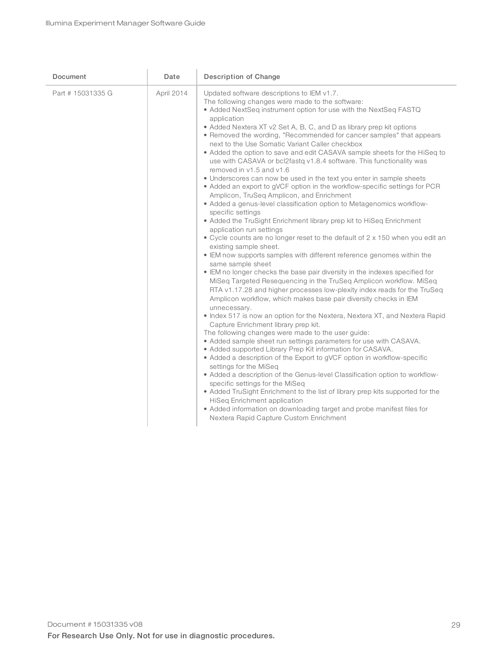| Document          | Date       | Description of Change                                                                                                                                                                                                                                                                                                                                                                                                                                                                                                                                                                                                                                                                                                                                                                                                                                                                                                                                                                                                                                                                                                                                                                                                                                                                                                                                                                                                                                                                                                                                                                                                                                                                                                                                                                                                                                                                                                                                                                                                                                                                                                                                                                                                                                                                   |
|-------------------|------------|-----------------------------------------------------------------------------------------------------------------------------------------------------------------------------------------------------------------------------------------------------------------------------------------------------------------------------------------------------------------------------------------------------------------------------------------------------------------------------------------------------------------------------------------------------------------------------------------------------------------------------------------------------------------------------------------------------------------------------------------------------------------------------------------------------------------------------------------------------------------------------------------------------------------------------------------------------------------------------------------------------------------------------------------------------------------------------------------------------------------------------------------------------------------------------------------------------------------------------------------------------------------------------------------------------------------------------------------------------------------------------------------------------------------------------------------------------------------------------------------------------------------------------------------------------------------------------------------------------------------------------------------------------------------------------------------------------------------------------------------------------------------------------------------------------------------------------------------------------------------------------------------------------------------------------------------------------------------------------------------------------------------------------------------------------------------------------------------------------------------------------------------------------------------------------------------------------------------------------------------------------------------------------------------|
| Part # 15031335 G | April 2014 | Updated software descriptions to IEM v1.7.<br>The following changes were made to the software:<br>• Added NextSeq instrument option for use with the NextSeq FASTQ<br>application<br>• Added Nextera XT v2 Set A, B, C, and D as library prep kit options<br>• Removed the wording, "Recommended for cancer samples" that appears<br>next to the Use Somatic Variant Caller checkbox<br>• Added the option to save and edit CASAVA sample sheets for the HiSeq to<br>use with CASAVA or bcl2fastq v1.8.4 software. This functionality was<br>removed in v1.5 and v1.6<br>• Underscores can now be used in the text you enter in sample sheets<br>• Added an export to gVCF option in the workflow-specific settings for PCR<br>Amplicon, TruSeg Amplicon, and Enrichment<br>• Added a genus-level classification option to Metagenomics workflow-<br>specific settings<br>• Added the TruSight Enrichment library prep kit to HiSeq Enrichment<br>application run settings<br>• Cycle counts are no longer reset to the default of 2 x 150 when you edit an<br>existing sample sheet.<br>• IEM now supports samples with different reference genomes within the<br>same sample sheet<br>• IEM no longer checks the base pair diversity in the indexes specified for<br>MiSeq Targeted Resequencing in the TruSeq Amplicon workflow. MiSeq<br>RTA v1.17.28 and higher processes low-plexity index reads for the TruSeq<br>Amplicon workflow, which makes base pair diversity checks in IEM<br>unnecessary.<br>• Index 517 is now an option for the Nextera, Nextera XT, and Nextera Rapid<br>Capture Enrichment library prep kit.<br>The following changes were made to the user guide:<br>• Added sample sheet run settings parameters for use with CASAVA.<br>• Added supported Library Prep Kit information for CASAVA.<br>• Added a description of the Export to gVCF option in workflow-specific<br>settings for the MiSeq<br>• Added a description of the Genus-level Classification option to workflow-<br>specific settings for the MiSeq<br>• Added TruSight Enrichment to the list of library prep kits supported for the<br>HiSeq Enrichment application<br>• Added information on downloading target and probe manifest files for<br>Nextera Rapid Capture Custom Enrichment |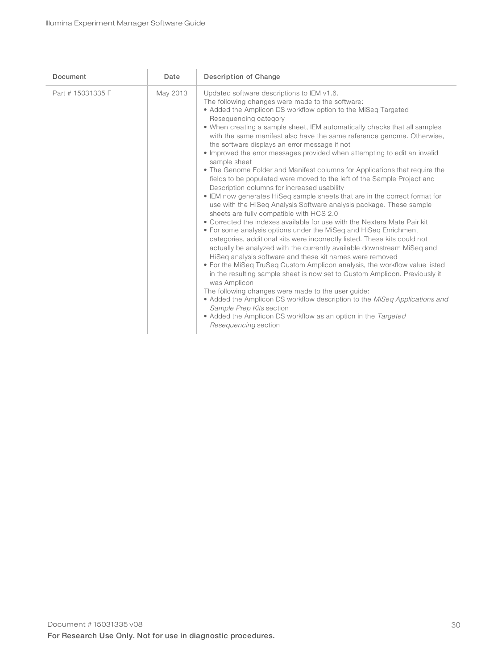| Document          | Date     | Description of Change                                                                                                                                                                                                                                                                                                                                                                                                                                                                                                                                                                                                                                                                                                                                                                                                                                                                                                                                                                                                                                                                                                                                                                                                                                                                                                                                                                                                                                                                                                                                                                                                                                                                                          |
|-------------------|----------|----------------------------------------------------------------------------------------------------------------------------------------------------------------------------------------------------------------------------------------------------------------------------------------------------------------------------------------------------------------------------------------------------------------------------------------------------------------------------------------------------------------------------------------------------------------------------------------------------------------------------------------------------------------------------------------------------------------------------------------------------------------------------------------------------------------------------------------------------------------------------------------------------------------------------------------------------------------------------------------------------------------------------------------------------------------------------------------------------------------------------------------------------------------------------------------------------------------------------------------------------------------------------------------------------------------------------------------------------------------------------------------------------------------------------------------------------------------------------------------------------------------------------------------------------------------------------------------------------------------------------------------------------------------------------------------------------------------|
| Part # 15031335 F | May 2013 | Updated software descriptions to IEM v1.6.<br>The following changes were made to the software:<br>• Added the Amplicon DS workflow option to the MiSeq Targeted<br>Resequencing category<br>• When creating a sample sheet, IEM automatically checks that all samples<br>with the same manifest also have the same reference genome. Otherwise,<br>the software displays an error message if not<br>• Improved the error messages provided when attempting to edit an invalid<br>sample sheet<br>• The Genome Folder and Manifest columns for Applications that require the<br>fields to be populated were moved to the left of the Sample Project and<br>Description columns for increased usability<br>• IEM now generates HiSeg sample sheets that are in the correct format for<br>use with the HiSeg Analysis Software analysis package. These sample<br>sheets are fully compatible with HCS 2.0<br>• Corrected the indexes available for use with the Nextera Mate Pair kit<br>• For some analysis options under the MiSeq and HiSeq Enrichment<br>categories, additional kits were incorrectly listed. These kits could not<br>actually be analyzed with the currently available downstream MiSeq and<br>HiSeg analysis software and these kit names were removed<br>• For the MiSeg TruSeg Custom Amplicon analysis, the workflow value listed<br>in the resulting sample sheet is now set to Custom Amplicon. Previously it<br>was Amplicon<br>The following changes were made to the user guide:<br>• Added the Amplicon DS workflow description to the MiSeq Applications and<br>Sample Prep Kits section<br>• Added the Amplicon DS workflow as an option in the Targeted<br>Resequencing section |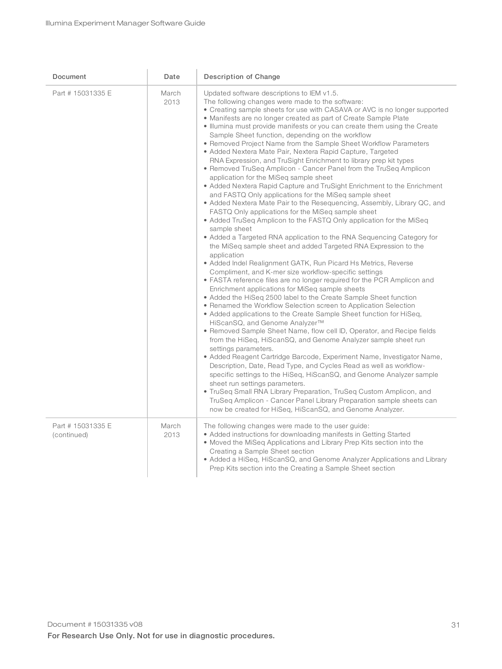| Document                         | Date          | Description of Change                                                                                                                                                                                                                                                                                                                                                                                                                                                                                                                                                                                                                                                                                                                                                                                                                                                                                                                                                                                                                                                                                                                                                                                                                                                                                                                                                                                                                                                                                                                                                                                                                                                                                                                                                                                                                                                                                                                                                                                                                                                                                                                                                                                                                                                                                                                                                               |
|----------------------------------|---------------|-------------------------------------------------------------------------------------------------------------------------------------------------------------------------------------------------------------------------------------------------------------------------------------------------------------------------------------------------------------------------------------------------------------------------------------------------------------------------------------------------------------------------------------------------------------------------------------------------------------------------------------------------------------------------------------------------------------------------------------------------------------------------------------------------------------------------------------------------------------------------------------------------------------------------------------------------------------------------------------------------------------------------------------------------------------------------------------------------------------------------------------------------------------------------------------------------------------------------------------------------------------------------------------------------------------------------------------------------------------------------------------------------------------------------------------------------------------------------------------------------------------------------------------------------------------------------------------------------------------------------------------------------------------------------------------------------------------------------------------------------------------------------------------------------------------------------------------------------------------------------------------------------------------------------------------------------------------------------------------------------------------------------------------------------------------------------------------------------------------------------------------------------------------------------------------------------------------------------------------------------------------------------------------------------------------------------------------------------------------------------------------|
| Part # 15031335 E                | March<br>2013 | Updated software descriptions to IEM v1.5.<br>The following changes were made to the software:<br>• Creating sample sheets for use with CASAVA or AVC is no longer supported<br>• Manifests are no longer created as part of Create Sample Plate<br>• Illumina must provide manifests or you can create them using the Create<br>Sample Sheet function, depending on the workflow<br>• Removed Project Name from the Sample Sheet Workflow Parameters<br>• Added Nextera Mate Pair, Nextera Rapid Capture, Targeted<br>RNA Expression, and TruSight Enrichment to library prep kit types<br>• Removed TruSeq Amplicon - Cancer Panel from the TruSeq Amplicon<br>application for the MiSeg sample sheet<br>• Added Nextera Rapid Capture and TruSight Enrichment to the Enrichment<br>and FASTQ Only applications for the MiSeg sample sheet<br>• Added Nextera Mate Pair to the Resequencing, Assembly, Library QC, and<br>FASTQ Only applications for the MiSeq sample sheet<br>• Added TruSeq Amplicon to the FASTQ Only application for the MiSeq<br>sample sheet<br>• Added a Targeted RNA application to the RNA Sequencing Category for<br>the MiSeg sample sheet and added Targeted RNA Expression to the<br>application<br>• Added Indel Realignment GATK, Run Picard Hs Metrics, Reverse<br>Compliment, and K-mer size workflow-specific settings<br>• FASTA reference files are no longer required for the PCR Amplicon and<br>Enrichment applications for MiSeg sample sheets<br>• Added the HiSeq 2500 label to the Create Sample Sheet function<br>• Renamed the Workflow Selection screen to Application Selection<br>• Added applications to the Create Sample Sheet function for HiSeq,<br>HiScanSQ, and Genome Analyzer™<br>• Removed Sample Sheet Name, flow cell ID, Operator, and Recipe fields<br>from the HiSeq, HiScanSQ, and Genome Analyzer sample sheet run<br>settings parameters.<br>• Added Reagent Cartridge Barcode, Experiment Name, Investigator Name,<br>Description, Date, Read Type, and Cycles Read as well as workflow-<br>specific settings to the HiSeq, HiScanSQ, and Genome Analyzer sample<br>sheet run settings parameters.<br>• TruSeq Small RNA Library Preparation, TruSeq Custom Amplicon, and<br>TruSeg Amplicon - Cancer Panel Library Preparation sample sheets can<br>now be created for HiSeq, HiScanSQ, and Genome Analyzer. |
| Part # 15031335 E<br>(continued) | March<br>2013 | The following changes were made to the user guide:<br>• Added instructions for downloading manifests in Getting Started<br>• Moved the MiSeq Applications and Library Prep Kits section into the<br>Creating a Sample Sheet section<br>• Added a HiSeq, HiScanSQ, and Genome Analyzer Applications and Library<br>Prep Kits section into the Creating a Sample Sheet section                                                                                                                                                                                                                                                                                                                                                                                                                                                                                                                                                                                                                                                                                                                                                                                                                                                                                                                                                                                                                                                                                                                                                                                                                                                                                                                                                                                                                                                                                                                                                                                                                                                                                                                                                                                                                                                                                                                                                                                                        |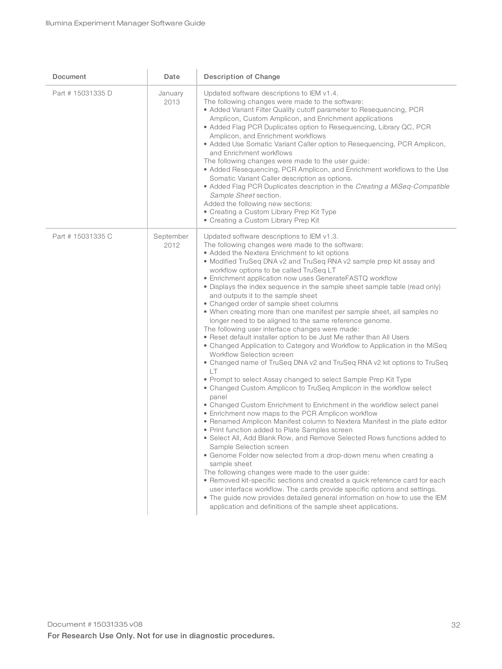| Document          | Date              | Description of Change                                                                                                                                                                                                                                                                                                                                                                                                                                                                                                                                                                                                                                                                                                                                                                                                                                                                                                                                                                                                                                                                                                                                                                                                                                                                                                                                                                                                                                                                                                                                                                                                                                                                                                                                                                                                                                                                                                                         |
|-------------------|-------------------|-----------------------------------------------------------------------------------------------------------------------------------------------------------------------------------------------------------------------------------------------------------------------------------------------------------------------------------------------------------------------------------------------------------------------------------------------------------------------------------------------------------------------------------------------------------------------------------------------------------------------------------------------------------------------------------------------------------------------------------------------------------------------------------------------------------------------------------------------------------------------------------------------------------------------------------------------------------------------------------------------------------------------------------------------------------------------------------------------------------------------------------------------------------------------------------------------------------------------------------------------------------------------------------------------------------------------------------------------------------------------------------------------------------------------------------------------------------------------------------------------------------------------------------------------------------------------------------------------------------------------------------------------------------------------------------------------------------------------------------------------------------------------------------------------------------------------------------------------------------------------------------------------------------------------------------------------|
| Part # 15031335 D | January<br>2013   | Updated software descriptions to IEM v1.4.<br>The following changes were made to the software:<br>• Added Variant Filter Quality cutoff parameter to Resequencing, PCR<br>Amplicon, Custom Amplicon, and Enrichment applications<br>• Added Flag PCR Duplicates option to Resequencing, Library QC, PCR<br>Amplicon, and Enrichment workflows<br>• Added Use Somatic Variant Caller option to Resequencing, PCR Amplicon,<br>and Enrichment workflows<br>The following changes were made to the user guide:<br>• Added Resequencing, PCR Amplicon, and Enrichment workflows to the Use<br>Somatic Variant Caller description as options.<br>• Added Flag PCR Duplicates description in the Creating a MiSeq-Compatible<br>Sample Sheet section.<br>Added the following new sections:<br>• Creating a Custom Library Prep Kit Type<br>• Creating a Custom Library Prep Kit                                                                                                                                                                                                                                                                                                                                                                                                                                                                                                                                                                                                                                                                                                                                                                                                                                                                                                                                                                                                                                                                     |
| Part # 15031335 C | September<br>2012 | Updated software descriptions to IEM v1.3.<br>The following changes were made to the software:<br>• Added the Nextera Enrichment to kit options<br>• Modified TruSeq DNA v2 and TruSeq RNA v2 sample prep kit assay and<br>workflow options to be called TruSeq LT<br>• Enrichment application now uses GenerateFASTQ workflow<br>• Displays the index sequence in the sample sheet sample table (read only)<br>and outputs it to the sample sheet<br>• Changed order of sample sheet columns<br>• When creating more than one manifest per sample sheet, all samples no<br>longer need to be aligned to the same reference genome.<br>The following user interface changes were made:<br>• Reset default installer option to be Just Me rather than All Users<br>• Changed Application to Category and Workflow to Application in the MiSeq<br>Workflow Selection screen<br>• Changed name of TruSeq DNA v2 and TruSeq RNA v2 kit options to TruSeq<br>LT.<br>• Prompt to select Assay changed to select Sample Prep Kit Type<br>• Changed Custom Amplicon to TruSeq Amplicon in the workflow select<br>panel<br>• Changed Custom Enrichment to Enrichment in the workflow select panel<br>• Enrichment now maps to the PCR Amplicon workflow<br>• Renamed Amplicon Manifest column to Nextera Manifest in the plate editor<br>• Print function added to Plate Samples screen<br>• Select All, Add Blank Row, and Remove Selected Rows functions added to<br>Sample Selection screen<br>• Genome Folder now selected from a drop-down menu when creating a<br>sample sheet<br>The following changes were made to the user guide:<br>• Removed kit-specific sections and created a quick reference card for each<br>user interface workflow. The cards provide specific options and settings.<br>. The guide now provides detailed general information on how to use the IEM<br>application and definitions of the sample sheet applications. |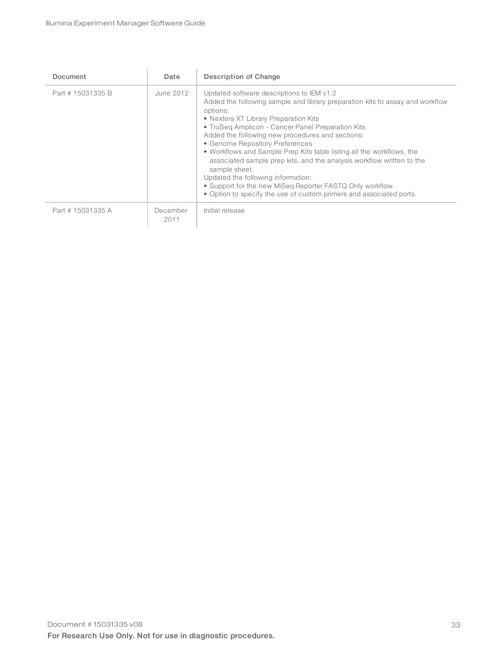| Document          | Date             | Description of Change                                                                                                                                                                                                                                                                                                                                                                                                                                                                                                                                                                                                                                                    |
|-------------------|------------------|--------------------------------------------------------------------------------------------------------------------------------------------------------------------------------------------------------------------------------------------------------------------------------------------------------------------------------------------------------------------------------------------------------------------------------------------------------------------------------------------------------------------------------------------------------------------------------------------------------------------------------------------------------------------------|
| Part # 15031335 B | June 2012        | Updated software descriptions to IEM v1.2<br>Added the following sample and library preparation kits to assay and workflow<br>options:<br>• Nextera XT Library Preparation Kits<br>• TruSeq Amplicon - Cancer Panel Preparation Kits<br>Added the following new procedures and sections:<br>• Genome Repository Preferences<br>• Workflows and Sample Prep Kits table listing all the workflows, the<br>associated sample prep kits, and the analysis workflow written to the<br>sample sheet.<br>Updated the following information:<br>• Support for the new MiSeg Reporter FASTQ Only workflow.<br>• Option to specify the use of custom primers and associated ports. |
| Part # 15031335 A | December<br>2011 | Initial release                                                                                                                                                                                                                                                                                                                                                                                                                                                                                                                                                                                                                                                          |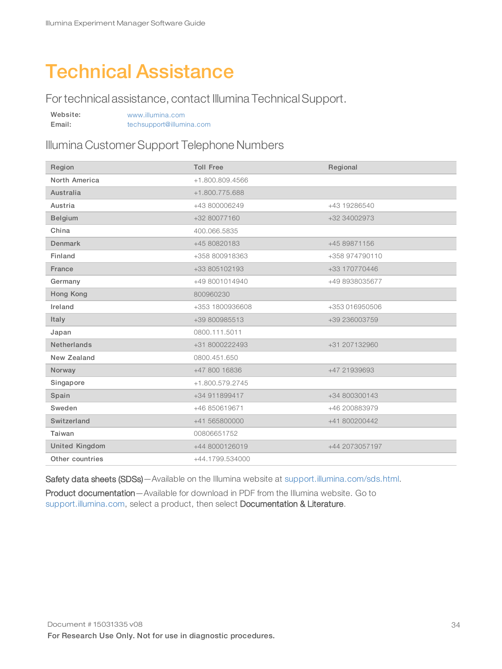# <span id="page-33-0"></span>Technical Assistance

For technical assistance, contact Illumina Technical Support.

| Website: | www.illumina.com         |
|----------|--------------------------|
| Email:   | techsupport@illumina.com |

#### Illumina Customer Support Telephone Numbers

| Region                | <b>Toll Free</b> | Regional       |
|-----------------------|------------------|----------------|
| North America         | +1.800.809.4566  |                |
| Australia             | +1,800,775,688   |                |
| Austria               | +43 800006249    | +43 19286540   |
| Belgium               | +32 80077160     | +32 34002973   |
| China                 | 400.066.5835     |                |
| Denmark               | +45 80820183     | +45 89871156   |
| Finland               | +358 800918363   | +358 974790110 |
| France                | +33 805102193    | +33 170770446  |
| Germany               | +49 8001014940   | +49 8938035677 |
| Hong Kong             | 800960230        |                |
| Ireland               | +353 1800936608  | +353 016950506 |
| Italy                 | +39 800985513    | +39 236003759  |
| Japan                 | 0800.111.5011    |                |
| <b>Netherlands</b>    | +31 8000222493   | +31 207132960  |
| New Zealand           | 0800.451.650     |                |
| Norway                | +47 800 16836    | +47 21939693   |
| Singapore             | +1.800.579.2745  |                |
| Spain                 | +34 911899417    | +34 800300143  |
| Sweden                | +46 850619671    | +46 200883979  |
| Switzerland           | +41 565800000    | +41 800200442  |
| Taiwan                | 00806651752      |                |
| <b>United Kingdom</b> | +44 8000126019   | +44 2073057197 |
| Other countries       | +44.1799.534000  |                |

Safety data sheets (SDSs)—Available on the Illumina website at [support.illumina.com/sds.html](http://support.illumina.com/sds.html).

Product documentation—Available for download in PDF from the Illumina website. Go to [support.illumina.com,](http://www.illumina.com/support.ilmn) select a product, then select Documentation & Literature.